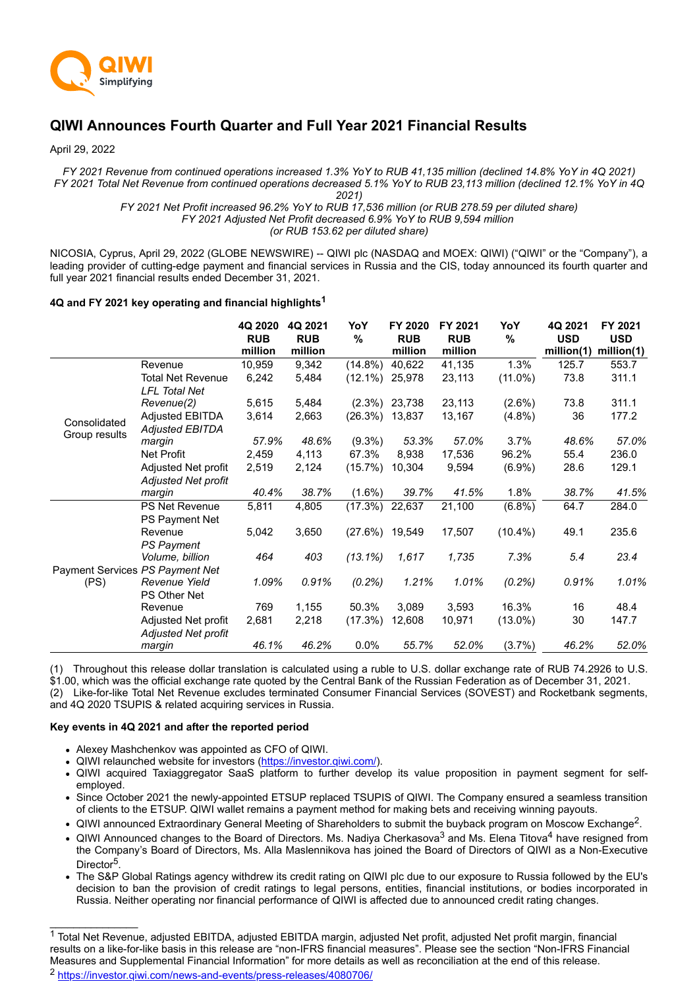

# **QIWI Announces Fourth Quarter and Full Year 2021 Financial Results**

April 29, 2022

*FY 2021 Revenue from continued operations increased 1.3% YoY to RUB 41,135 million (declined 14.8% YoY in 4Q 2021) FY 2021 Total Net Revenue from continued operations decreased 5.1% YoY to RUB 23,113 million (declined 12.1% YoY in 4Q 2021)*

*FY 2021 Net Profit increased 96.2% YoY to RUB 17,536 million (or RUB 278.59 per diluted share) FY 2021 Adjusted Net Profit decreased 6.9% YoY to RUB 9,594 million (or RUB 153.62 per diluted share)*

NICOSIA, Cyprus, April 29, 2022 (GLOBE NEWSWIRE) -- QIWI plc (NASDAQ and MOEX: QIWI) ("QIWI" or the "Company"), a leading provider of cutting-edge payment and financial services in Russia and the CIS, today announced its fourth quarter and full year 2021 financial results ended December 31, 2021.

# **4Q and FY 2021 key operating and financial highlights<sup>1</sup>**

|                                 |                            | 4Q 2020<br><b>RUB</b><br>million | 4Q 2021<br><b>RUB</b><br>million | YoY<br>%          | FY 2020<br><b>RUB</b><br>million | FY 2021<br><b>RUB</b><br>million | YoY<br>$\frac{9}{6}$ | 4Q 2021<br><b>USD</b><br>million(1) | FY 2021<br><b>USD</b><br>million(1) |
|---------------------------------|----------------------------|----------------------------------|----------------------------------|-------------------|----------------------------------|----------------------------------|----------------------|-------------------------------------|-------------------------------------|
|                                 | Revenue                    | 10,959                           | 9,342                            | $(14.8\%)$        | 40,622                           | 41,135                           | 1.3%                 | 125.7                               | 553.7                               |
|                                 | Total Net Revenue          | 6,242                            | 5,484                            | $(12.1\%)$        | 25,978                           | 23,113                           | $(11.0\%)$           | 73.8                                | 311.1                               |
|                                 | <b>LFL Total Net</b>       |                                  |                                  |                   |                                  |                                  |                      |                                     |                                     |
|                                 | Revenue(2)                 | 5,615                            | 5,484                            | $(2.3\%)$         | 23,738                           | 23,113                           | $(2.6\%)$            | 73.8                                | 311.1                               |
| Consolidated                    | <b>Adjusted EBITDA</b>     | 3,614                            | 2,663                            | (26.3%)           | 13,837                           | 13,167                           | $(4.8\%)$            | 36                                  | 177.2                               |
| Group results                   | Adjusted EBITDA            |                                  |                                  |                   |                                  |                                  |                      |                                     |                                     |
|                                 | margin                     | 57.9%                            | 48.6%                            | $(9.3\%)$         | 53.3%                            | 57.0%                            | 3.7%                 | 48.6%                               | 57.0%                               |
|                                 | <b>Net Profit</b>          | 2,459                            | 4,113                            | 67.3%             | 8,938                            | 17,536                           | 96.2%                | 55.4                                | 236.0                               |
|                                 | Adjusted Net profit        | 2,519                            | 2,124                            | (15.7%)           | 10,304                           | 9,594                            | $(6.9\%)$            | 28.6                                | 129.1                               |
|                                 | Adjusted Net profit        |                                  |                                  |                   |                                  |                                  |                      |                                     |                                     |
|                                 | margin                     | 40.4%                            | 38.7%                            | $(1.6\%)$         | 39.7%                            | 41.5%                            | 1.8%                 | 38.7%                               | 41.5%                               |
|                                 | <b>PS Net Revenue</b>      | 5,811                            | 4,805                            | (17.3%)           | 22,637                           | 21,100                           | (6.8%)               | 64.7                                | 284.0                               |
|                                 | PS Payment Net             |                                  |                                  |                   |                                  |                                  |                      |                                     |                                     |
|                                 | Revenue                    | 5,042                            | 3,650                            | $(27.6\%)$ 19,549 |                                  | 17,507                           | $(10.4\%)$           | 49.1                                | 235.6                               |
|                                 | <b>PS Payment</b>          |                                  |                                  |                   |                                  |                                  |                      |                                     |                                     |
|                                 | Volume, billion            | 464                              | 403                              | $(13.1\%)$        | 1,617                            | 1,735                            | 7.3%                 | 5.4                                 | 23.4                                |
| Payment Services PS Payment Net |                            |                                  |                                  |                   |                                  |                                  |                      |                                     |                                     |
| (PS)                            | Revenue Yield              | 1.09%                            | 0.91%                            | (0.2%)            | 1.21%                            | 1.01%                            | (0.2%)               | 0.91%                               | 1.01%                               |
|                                 | <b>PS Other Net</b>        |                                  |                                  |                   |                                  |                                  |                      |                                     |                                     |
|                                 | Revenue                    | 769                              | 1,155                            | 50.3%             | 3,089                            | 3,593                            | 16.3%                | 16                                  | 48.4                                |
|                                 | Adjusted Net profit        | 2,681                            | 2,218                            | (17.3%)           | 12,608                           | 10,971                           | $(13.0\%)$           | 30                                  | 147.7                               |
|                                 | <b>Adjusted Net profit</b> |                                  |                                  |                   |                                  |                                  |                      |                                     |                                     |
|                                 | margin                     | 46.1%                            | 46.2%                            | 0.0%              | 55.7%                            | 52.0%                            | (3.7%)               | 46.2%                               | 52.0%                               |

(1) Throughout this release dollar translation is calculated using a ruble to U.S. dollar exchange rate of RUB 74.2926 to U.S. \$1.00, which was the official exchange rate quoted by the Central Bank of the Russian Federation as of December 31, 2021.

(2) Like-for-like Total Net Revenue excludes terminated Consumer Financial Services (SOVEST) and Rocketbank segments, and 4Q 2020 TSUPIS & related acquiring services in Russia.

### **Key events in 4Q 2021 and after the reported period**

 $\mathcal{L}=\mathcal{L}=\mathcal{L}=\mathcal{L}=\mathcal{L}=\mathcal{L}=\mathcal{L}=\mathcal{L}=\mathcal{L}=\mathcal{L}=\mathcal{L}=\mathcal{L}=\mathcal{L}=\mathcal{L}=\mathcal{L}=\mathcal{L}=\mathcal{L}=\mathcal{L}=\mathcal{L}=\mathcal{L}=\mathcal{L}=\mathcal{L}=\mathcal{L}=\mathcal{L}=\mathcal{L}=\mathcal{L}=\mathcal{L}=\mathcal{L}=\mathcal{L}=\mathcal{L}=\mathcal{L}=\mathcal{L}=\mathcal{L}=\mathcal{L}=\mathcal{L}=\mathcal{L}=\mathcal{$ 

- Alexey Mashchenkov was appointed as CFO of QIWI.
- QIWI relaunched website for investors ([https://investor.qiwi.com/\)](https://investor.qiwi.com/).
- QIWI acquired Taxiaggregator SaaS platform to further develop its value proposition in payment segment for selfemployed.
- Since October 2021 the newly-appointed ETSUP replaced TSUPIS of QIWI. The Company ensured a seamless transition of clients to the ETSUP. QIWI wallet remains a payment method for making bets and receiving winning payouts.
- QIWI announced Extraordinary General Meeting of Shareholders to submit the buyback program on Moscow Exchange<sup>2</sup>.
- QIWI Announced changes to the Board of Directors. Ms. Nadiya Cherkasova<sup>3</sup> and Ms. Elena Titova<sup>4</sup> have resigned from the Company's Board of Directors, Ms. Alla Maslennikova has joined the Board of Directors of QIWI as a Non-Executive Director<sup>5</sup> .
- The S&P Global Ratings agency withdrew its credit rating on QIWI plc due to our exposure to Russia followed by the EU's decision to ban the provision of credit ratings to legal persons, entities, financial institutions, or bodies incorporated in Russia. Neither operating nor financial performance of QIWI is affected due to announced credit rating changes.

<sup>&</sup>lt;sup>1</sup> Total Net Revenue, adjusted EBITDA, adjusted EBITDA margin, adjusted Net profit, adjusted Net profit margin, financial results on a like-for-like basis in this release are "non-IFRS financial measures". Please see the section "Non-IFRS Financial Measures and Supplemental Financial Information" for more details as well as reconciliation at the end of this release. <sup>2</sup> [https://investor.qiwi.com/news-and-events/press-releases/4080706/](https://www.globenewswire.com/Tracker?data=Nw4wJgsc6TeMaBEdb2WOovJNdxp0VmgOSAPPBkr0yk355GysQtmmsDlGtDVRhon2JC4FWvWCU5AA9gg4vyQ5fc8ka7SkPbTG6iTkyLqxEzfguEX1ZiHFFNVTt3ekyWE3yqk0-3PfRRaWQZZJXRM2KRpo9BjF9Kn8zkiPbub6DUqAZrl7LICKjsJV-PxrgsQ51m6a2Zqadu2qsMcu8wuf8w==)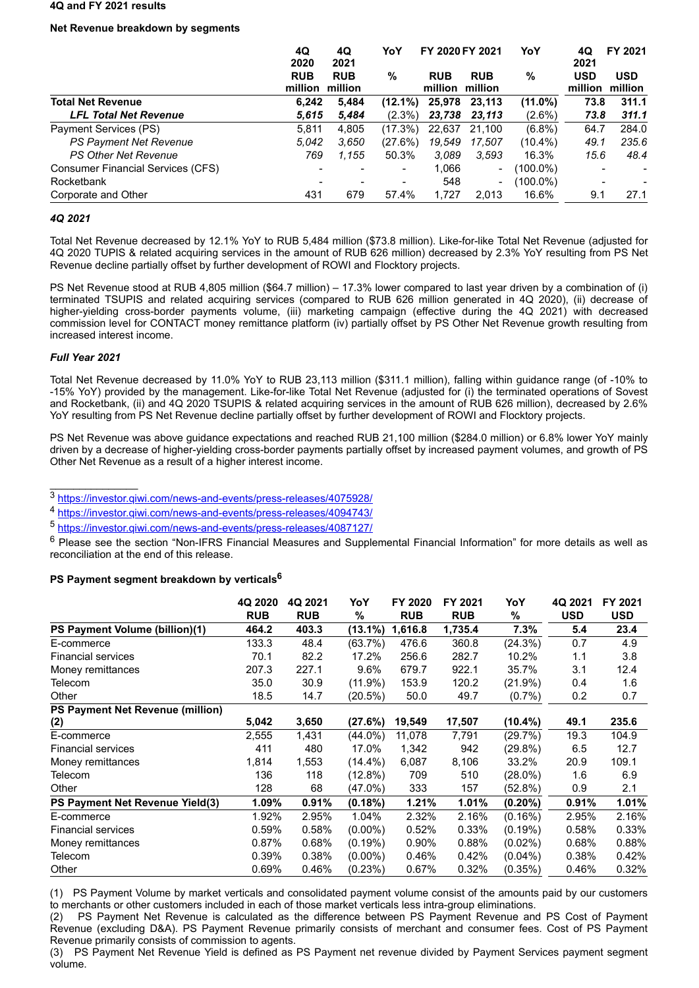#### **4Q and FY 2021 results**

# **Net Revenue breakdown by segments**

|                                          | 4Q<br>2020            | 4Q<br>2021            |            | YoY<br>FY 2020 FY 2021        |            | YoY         |                       | FY 2021               |
|------------------------------------------|-----------------------|-----------------------|------------|-------------------------------|------------|-------------|-----------------------|-----------------------|
|                                          | <b>RUB</b><br>million | <b>RUB</b><br>million | %          | <b>RUB</b><br>million million | <b>RUB</b> | %           | <b>USD</b><br>million | <b>USD</b><br>million |
| <b>Total Net Revenue</b>                 | 6.242                 | 5,484                 | $(12.1\%)$ | 25,978                        | 23,113     | $(11.0\%)$  | 73.8                  | 311.1                 |
| <b>LFL Total Net Revenue</b>             | 5,615                 | 5,484                 | $(2.3\%)$  | 23,738                        | 23,113     | $(2.6\%)$   | 73.8                  | 311.1                 |
| Payment Services (PS)                    | 5.811                 | 4.805                 | $(17.3\%)$ | 22.637                        | 21.100     | $(6.8\%)$   | 64.7                  | 284.0                 |
| PS Payment Net Revenue                   | 5.042                 | 3.650                 | (27.6%)    | 19.549                        | 17.507     | $(10.4\%)$  | 49.1                  | 235.6                 |
| <b>PS Other Net Revenue</b>              | 769                   | 1.155                 | 50.3%      | 3.089                         | 3.593      | 16.3%       | 15.6                  | 48.4                  |
| <b>Consumer Financial Services (CFS)</b> |                       |                       | -          | 1,066                         | -          | $(100.0\%)$ |                       |                       |
| Rocketbank                               |                       |                       |            | 548                           | -          | $(100.0\%)$ |                       |                       |
| Corporate and Other                      | 431                   | 679                   | 57.4%      | 1.727                         | 2.013      | 16.6%       | 9.1                   | 27.1                  |

### *4Q 2021*

Total Net Revenue decreased by 12.1% YoY to RUB 5,484 million (\$73.8 million). Like-for-like Total Net Revenue (adjusted for 4Q 2020 TUPIS & related acquiring services in the amount of RUB 626 million) decreased by 2.3% YoY resulting from PS Net Revenue decline partially offset by further development of ROWI and Flocktory projects.

PS Net Revenue stood at RUB 4,805 million (\$64.7 million) – 17.3% lower compared to last year driven by a combination of (i) terminated TSUPIS and related acquiring services (compared to RUB 626 million generated in 4Q 2020), (ii) decrease of higher-yielding cross-border payments volume, (iii) marketing campaign (effective during the 4Q 2021) with decreased commission level for CONTACT money remittance platform (iv) partially offset by PS Other Net Revenue growth resulting from increased interest income.

# *Full Year 2021*

 $\mathcal{L}=\mathcal{L}=\mathcal{L}=\mathcal{L}=\mathcal{L}=\mathcal{L}=\mathcal{L}=\mathcal{L}=\mathcal{L}=\mathcal{L}=\mathcal{L}=\mathcal{L}=\mathcal{L}=\mathcal{L}=\mathcal{L}=\mathcal{L}=\mathcal{L}=\mathcal{L}=\mathcal{L}=\mathcal{L}=\mathcal{L}=\mathcal{L}=\mathcal{L}=\mathcal{L}=\mathcal{L}=\mathcal{L}=\mathcal{L}=\mathcal{L}=\mathcal{L}=\mathcal{L}=\mathcal{L}=\mathcal{L}=\mathcal{L}=\mathcal{L}=\mathcal{L}=\mathcal{L}=\mathcal{$ 

Total Net Revenue decreased by 11.0% YoY to RUB 23,113 million (\$311.1 million), falling within guidance range (of -10% to -15% YoY) provided by the management. Like-for-like Total Net Revenue (adjusted for (i) the terminated operations of Sovest and Rocketbank, (ii) and 4Q 2020 TSUPIS & related acquiring services in the amount of RUB 626 million), decreased by 2.6% YoY resulting from PS Net Revenue decline partially offset by further development of ROWI and Flocktory projects.

PS Net Revenue was above guidance expectations and reached RUB 21,100 million (\$284.0 million) or 6.8% lower YoY mainly driven by a decrease of higher-yielding cross-border payments partially offset by increased payment volumes, and growth of PS Other Net Revenue as a result of a higher interest income.

<sup>3</sup> [https://investor.qiwi.com/news-and-events/press-releases/4075928/](https://www.globenewswire.com/Tracker?data=Nw4wJgsc6TeMaBEdb2WOovJNdxp0VmgOSAPPBkr0yk355GysQtmmsDlGtDVRhon2JC4FWvWCU5AA9gg4vyQ5fVRJ8lPXhWnsoAMvWcHwFAFXViUCCbIHR7Ok7kBhYcAC5Pv2Dr7IZKwVNqwnF5L2XVVtuEf2twGd4cQ1quiF9eoH6lDQE2xTv8Orls2M85FHLj_yti6BGS8zYalwZGL7tg==)

<sup>4</sup> [https://investor.qiwi.com/news-and-events/press-releases/4094743/](https://www.globenewswire.com/Tracker?data=Nw4wJgsc6TeMaBEdb2WOovJNdxp0VmgOSAPPBkr0yk355GysQtmmsDlGtDVRhon2JC4FWvWCU5AA9gg4vyQ5fSQMtJnZMG-VRHzxVkrd8dZhlgPUwKxeNkTu_EOTYB2aeqiRuBlyi6joqFDNBYCyGekilmwlIrB1TU0_8HJ3s3vsSrz_G4R9y_PL3TnXtyG483xy9wwt5SQEDgw9oNdXgw==)

<sup>5</sup> [https://investor.qiwi.com/news-and-events/press-releases/4087127/](https://www.globenewswire.com/Tracker?data=Nw4wJgsc6TeMaBEdb2WOovJNdxp0VmgOSAPPBkr0yk355GysQtmmsDlGtDVRhon2JC4FWvWCU5AA9gg4vyQ5fbsYKFVXuH87lm3jUbncokkD8SvVybKxqbCDiUuMlmhFdFPdwmCPUERAjci1A7fp28vpGBOuNsdBetyIeOBlbG2NEM4WGxviTACE-7rvy-AJT_72v4dVgfnnFGbMtP8TQA==)

<sup>6</sup> Please see the section "Non-IFRS Financial Measures and Supplemental Financial Information" for more details as well as reconciliation at the end of this release.

### **PS Payment segment breakdown by verticals<sup>6</sup>**

|                                  | 4Q 2020    | 4Q 2021    | YoY        | FY 2020    | FY 2021    | YoY        | 4Q 2021    | FY 2021    |
|----------------------------------|------------|------------|------------|------------|------------|------------|------------|------------|
|                                  | <b>RUB</b> | <b>RUB</b> | %          | <b>RUB</b> | <b>RUB</b> | %          | <b>USD</b> | <b>USD</b> |
| PS Payment Volume (billion)(1)   | 464.2      | 403.3      | $(13.1\%)$ | 1,616.8    | 1,735.4    | 7.3%       | 5.4        | 23.4       |
| E-commerce                       | 133.3      | 48.4       | (63.7%)    | 476.6      | 360.8      | (24.3%)    | 0.7        | 4.9        |
| <b>Financial services</b>        | 70.1       | 82.2       | 17.2%      | 256.6      | 282.7      | 10.2%      | 1.1        | 3.8        |
| Money remittances                | 207.3      | 227.1      | $9.6\%$    | 679.7      | 922.1      | 35.7%      | 3.1        | 12.4       |
| Telecom                          | 35.0       | 30.9       | $(11.9\%)$ | 153.9      | 120.2      | $(21.9\%)$ | 0.4        | 1.6        |
| Other                            | 18.5       | 14.7       | (20.5%)    | 50.0       | 49.7       | $(0.7\%)$  | 0.2        | 0.7        |
| PS Payment Net Revenue (million) |            |            |            |            |            |            |            |            |
| (2)                              | 5,042      | 3,650      | (27.6%)    | 19,549     | 17,507     | $(10.4\%)$ | 49.1       | 235.6      |
| E-commerce                       | 2,555      | 1,431      | (44.0%)    | 11,078     | 7,791      | (29.7%)    | 19.3       | 104.9      |
| <b>Financial services</b>        | 411        | 480        | 17.0%      | 1,342      | 942        | $(29.8\%)$ | 6.5        | 12.7       |
| Money remittances                | 1,814      | 1,553      | $(14.4\%)$ | 6,087      | 8,106      | 33.2%      | 20.9       | 109.1      |
| Telecom                          | 136        | 118        | $(12.8\%)$ | 709        | 510        | $(28.0\%)$ | 1.6        | 6.9        |
| Other                            | 128        | 68         | (47.0%)    | 333        | 157        | (52.8%)    | 0.9        | 2.1        |
| PS Payment Net Revenue Yield(3)  | 1.09%      | 0.91%      | $(0.18\%)$ | 1.21%      | 1.01%      | $(0.20\%)$ | 0.91%      | 1.01%      |
| E-commerce                       | 1.92%      | 2.95%      | 1.04%      | 2.32%      | 2.16%      | (0.16%)    | 2.95%      | 2.16%      |
| <b>Financial services</b>        | 0.59%      | 0.58%      | $(0.00\%)$ | 0.52%      | 0.33%      | $(0.19\%)$ | 0.58%      | 0.33%      |
| Money remittances                | 0.87%      | 0.68%      | $(0.19\%)$ | 0.90%      | 0.88%      | $(0.02\%)$ | 0.68%      | 0.88%      |
| Telecom                          | 0.39%      | 0.38%      | $(0.00\%)$ | 0.46%      | 0.42%      | $(0.04\%)$ | 0.38%      | 0.42%      |
| Other                            | 0.69%      | 0.46%      | (0.23%)    | 0.67%      | 0.32%      | (0.35%)    | 0.46%      | 0.32%      |

(1) PS Payment Volume by market verticals and consolidated payment volume consist of the amounts paid by our customers to merchants or other customers included in each of those market verticals less intra-group eliminations.

(2) PS Payment Net Revenue is calculated as the difference between PS Payment Revenue and PS Cost of Payment Revenue (excluding D&A). PS Payment Revenue primarily consists of merchant and consumer fees. Cost of PS Payment Revenue primarily consists of commission to agents.

(3) PS Payment Net Revenue Yield is defined as PS Payment net revenue divided by Payment Services payment segment volume.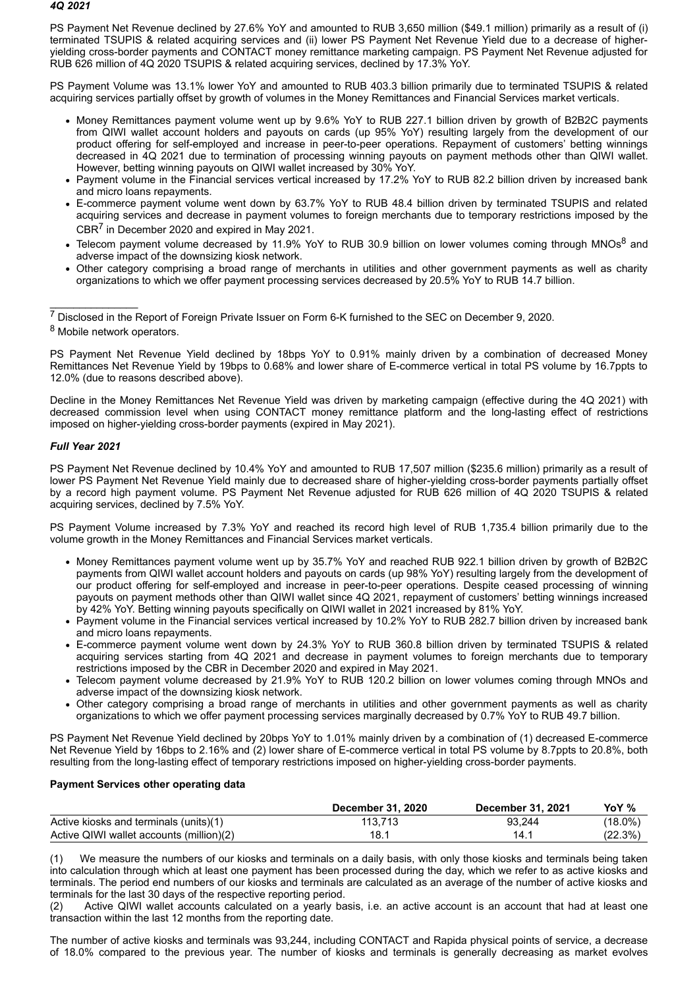### *4Q 2021*

PS Payment Net Revenue declined by 27.6% YoY and amounted to RUB 3,650 million (\$49.1 million) primarily as a result of (i) terminated TSUPIS & related acquiring services and (ii) lower PS Payment Net Revenue Yield due to a decrease of higheryielding cross-border payments and CONTACT money remittance marketing campaign. PS Payment Net Revenue adjusted for RUB 626 million of 4Q 2020 TSUPIS & related acquiring services, declined by 17.3% YoY.

PS Payment Volume was 13.1% lower YoY and amounted to RUB 403.3 billion primarily due to terminated TSUPIS & related acquiring services partially offset by growth of volumes in the Money Remittances and Financial Services market verticals.

- Money Remittances payment volume went up by 9.6% YoY to RUB 227.1 billion driven by growth of B2B2C payments from QIWI wallet account holders and payouts on cards (up 95% YoY) resulting largely from the development of our product offering for self-employed and increase in peer-to-peer operations. Repayment of customers' betting winnings decreased in 4Q 2021 due to termination of processing winning payouts on payment methods other than QIWI wallet. However, betting winning payouts on QIWI wallet increased by 30% YoY.
- Payment volume in the Financial services vertical increased by 17.2% YoY to RUB 82.2 billion driven by increased bank and micro loans repayments.
- E-commerce payment volume went down by 63.7% YoY to RUB 48.4 billion driven by terminated TSUPIS and related acquiring services and decrease in payment volumes to foreign merchants due to temporary restrictions imposed by the CBR<sup>7</sup> in December 2020 and expired in May 2021.
- Telecom payment volume decreased by 11.9% YoY to RUB 30.9 billion on lower volumes coming through MNOs<sup>8</sup> and adverse impact of the downsizing kiosk network.
- Other category comprising a broad range of merchants in utilities and other government payments as well as charity organizations to which we offer payment processing services decreased by 20.5% YoY to RUB 14.7 billion.

<sup>7</sup> Disclosed in the Report of Foreign Private Issuer on Form 6-K furnished to the SEC on December 9, 2020. <sup>8</sup> Mobile network operators.

PS Payment Net Revenue Yield declined by 18bps YoY to 0.91% mainly driven by a combination of decreased Money Remittances Net Revenue Yield by 19bps to 0.68% and lower share of E-commerce vertical in total PS volume by 16.7ppts to 12.0% (due to reasons described above).

Decline in the Money Remittances Net Revenue Yield was driven by marketing campaign (effective during the 4Q 2021) with decreased commission level when using CONTACT money remittance platform and the long-lasting effect of restrictions imposed on higher-yielding cross-border payments (expired in May 2021).

# *Full Year 2021*

 $\overline{\phantom{a}}$  , where  $\overline{\phantom{a}}$ 

PS Payment Net Revenue declined by 10.4% YoY and amounted to RUB 17,507 million (\$235.6 million) primarily as a result of lower PS Payment Net Revenue Yield mainly due to decreased share of higher-yielding cross-border payments partially offset by a record high payment volume. PS Payment Net Revenue adjusted for RUB 626 million of 4Q 2020 TSUPIS & related acquiring services, declined by 7.5% YoY.

PS Payment Volume increased by 7.3% YoY and reached its record high level of RUB 1,735.4 billion primarily due to the volume growth in the Money Remittances and Financial Services market verticals.

- Money Remittances payment volume went up by 35.7% YoY and reached RUB 922.1 billion driven by growth of B2B2C payments from QIWI wallet account holders and payouts on cards (up 98% YoY) resulting largely from the development of our product offering for self-employed and increase in peer-to-peer operations. Despite ceased processing of winning payouts on payment methods other than QIWI wallet since 4Q 2021, repayment of customers' betting winnings increased by 42% YoY. Betting winning payouts specifically on QIWI wallet in 2021 increased by 81% YoY.
- Payment volume in the Financial services vertical increased by 10.2% YoY to RUB 282.7 billion driven by increased bank and micro loans repayments.
- E-commerce payment volume went down by 24.3% YoY to RUB 360.8 billion driven by terminated TSUPIS & related acquiring services starting from 4Q 2021 and decrease in payment volumes to foreign merchants due to temporary restrictions imposed by the CBR in December 2020 and expired in May 2021.
- Telecom payment volume decreased by 21.9% YoY to RUB 120.2 billion on lower volumes coming through MNOs and adverse impact of the downsizing kiosk network.
- Other category comprising a broad range of merchants in utilities and other government payments as well as charity organizations to which we offer payment processing services marginally decreased by 0.7% YoY to RUB 49.7 billion.

PS Payment Net Revenue Yield declined by 20bps YoY to 1.01% mainly driven by a combination of (1) decreased E-commerce Net Revenue Yield by 16bps to 2.16% and (2) lower share of E-commerce vertical in total PS volume by 8.7ppts to 20.8%, both resulting from the long-lasting effect of temporary restrictions imposed on higher-yielding cross-border payments.

# **Payment Services other operating data**

|                                          | December 31, 2020 | December 31, 2021 | YoY %      |
|------------------------------------------|-------------------|-------------------|------------|
| Active kiosks and terminals (units)(1)   | 113.713           | 93.244            | $(18.0\%)$ |
| Active QIWI wallet accounts (million)(2) | 18.1              | 14.1              | (22.3%)    |

We measure the numbers of our kiosks and terminals on a daily basis, with only those kiosks and terminals being taken into calculation through which at least one payment has been processed during the day, which we refer to as active kiosks and terminals. The period end numbers of our kiosks and terminals are calculated as an average of the number of active kiosks and terminals for the last 30 days of the respective reporting period.

(2) Active QIWI wallet accounts calculated on a yearly basis, i.e. an active account is an account that had at least one transaction within the last 12 months from the reporting date.

The number of active kiosks and terminals was 93,244, including CONTACT and Rapida physical points of service, a decrease of 18.0% compared to the previous year. The number of kiosks and terminals is generally decreasing as market evolves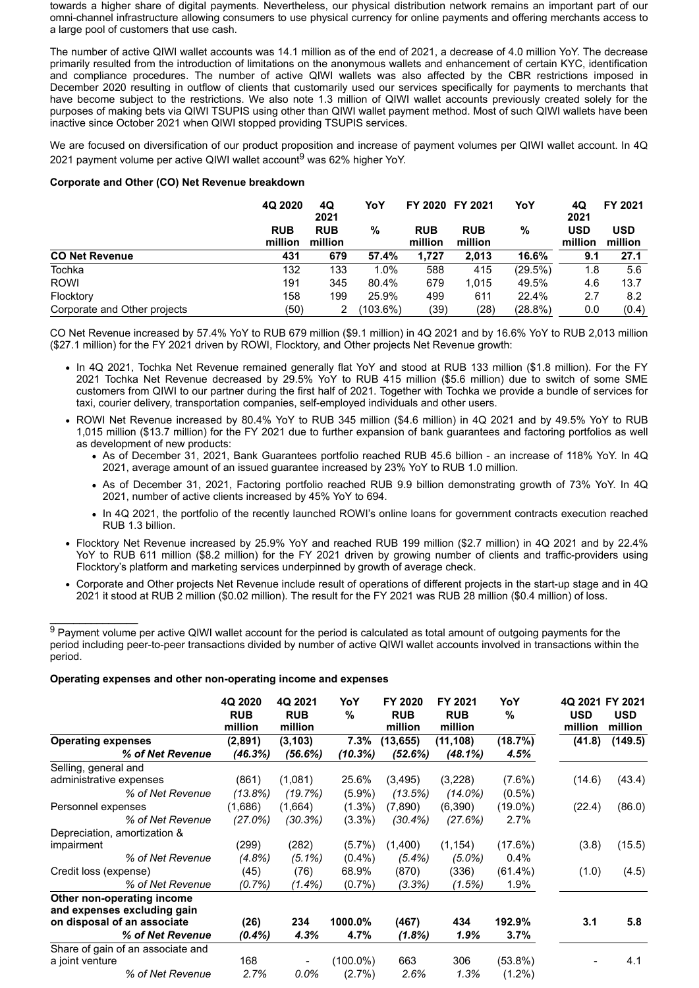towards a higher share of digital payments. Nevertheless, our physical distribution network remains an important part of our omni-channel infrastructure allowing consumers to use physical currency for online payments and offering merchants access to a large pool of customers that use cash.

The number of active QIWI wallet accounts was 14.1 million as of the end of 2021, a decrease of 4.0 million YoY. The decrease primarily resulted from the introduction of limitations on the anonymous wallets and enhancement of certain KYC, identification and compliance procedures. The number of active QIWI wallets was also affected by the CBR restrictions imposed in December 2020 resulting in outflow of clients that customarily used our services specifically for payments to merchants that have become subject to the restrictions. We also note 1.3 million of QIWI wallet accounts previously created solely for the purposes of making bets via QIWI TSUPIS using other than QIWI wallet payment method. Most of such QIWI wallets have been inactive since October 2021 when QIWI stopped providing TSUPIS services.

We are focused on diversification of our product proposition and increase of payment volumes per QIWI wallet account. In 4Q 2021 payment volume per active QIWI wallet account<sup>9</sup> was 62% higher YoY.

### **Corporate and Other (CO) Net Revenue breakdown**

|                              | 4Q 2020               | YoY<br>4Q<br>2021     |          |                       | FY 2020 FY 2021       | YoY     | 4Q<br>2021            | FY 2021               |
|------------------------------|-----------------------|-----------------------|----------|-----------------------|-----------------------|---------|-----------------------|-----------------------|
|                              | <b>RUB</b><br>million | <b>RUB</b><br>million | %        | <b>RUB</b><br>million | <b>RUB</b><br>million | %       | <b>USD</b><br>million | <b>USD</b><br>million |
| <b>CO Net Revenue</b>        | 431                   | 679                   | 57.4%    | 1,727                 | 2.013                 | 16.6%   | 9.1                   | 27.1                  |
| <b>Tochka</b>                | 132                   | 133                   | 1.0%     | 588                   | 415                   | (29.5%) | 1.8                   | 5.6                   |
| <b>ROWI</b>                  | 191                   | 345                   | 80.4%    | 679                   | 1.015                 | 49.5%   | 4.6                   | 13.7                  |
| Flocktory                    | 158                   | 199                   | 25.9%    | 499                   | 611                   | 22.4%   | 2.7                   | 8.2                   |
| Corporate and Other projects | (50)                  | 2                     | (103.6%) | (39)                  | (28)                  | (28.8%) | 0.0                   | (0.4)                 |

CO Net Revenue increased by 57.4% YoY to RUB 679 million (\$9.1 million) in 4Q 2021 and by 16.6% YoY to RUB 2,013 million (\$27.1 million) for the FY 2021 driven by ROWI, Flocktory, and Other projects Net Revenue growth:

- . In 4Q 2021, Tochka Net Revenue remained generally flat YoY and stood at RUB 133 million (\$1.8 million). For the FY 2021 Tochka Net Revenue decreased by 29.5% YoY to RUB 415 million (\$5.6 million) due to switch of some SME customers from QIWI to our partner during the first half of 2021. Together with Tochka we provide a bundle of services for taxi, courier delivery, transportation companies, self-employed individuals and other users.
- ROWI Net Revenue increased by 80.4% YoY to RUB 345 million (\$4.6 million) in 4Q 2021 and by 49.5% YoY to RUB 1,015 million (\$13.7 million) for the FY 2021 due to further expansion of bank guarantees and factoring portfolios as well as development of new products:
	- As of December 31, 2021, Bank Guarantees portfolio reached RUB 45.6 billion an increase of 118% YoY. In 4Q 2021, average amount of an issued guarantee increased by 23% YoY to RUB 1.0 million.
	- As of December 31, 2021, Factoring portfolio reached RUB 9.9 billion demonstrating growth of 73% YoY. In 4Q 2021, number of active clients increased by 45% YoY to 694.
	- In 4Q 2021, the portfolio of the recently launched ROWI's online loans for government contracts execution reached RUB 1.3 billion.
- Flocktory Net Revenue increased by 25.9% YoY and reached RUB 199 million (\$2.7 million) in 4Q 2021 and by 22.4% YoY to RUB 611 million (\$8.2 million) for the FY 2021 driven by growing number of clients and traffic-providers using Flocktory's platform and marketing services underpinned by growth of average check.
- Corporate and Other projects Net Revenue include result of operations of different projects in the start-up stage and in 4Q 2021 it stood at RUB 2 million (\$0.02 million). The result for the FY 2021 was RUB 28 million (\$0.4 million) of loss.

#### **Operating expenses and other non-operating income and expenses**

 $\mathcal{L}=\mathcal{L}=\mathcal{L}=\mathcal{L}=\mathcal{L}=\mathcal{L}=\mathcal{L}=\mathcal{L}=\mathcal{L}=\mathcal{L}=\mathcal{L}=\mathcal{L}=\mathcal{L}=\mathcal{L}=\mathcal{L}=\mathcal{L}=\mathcal{L}=\mathcal{L}=\mathcal{L}=\mathcal{L}=\mathcal{L}=\mathcal{L}=\mathcal{L}=\mathcal{L}=\mathcal{L}=\mathcal{L}=\mathcal{L}=\mathcal{L}=\mathcal{L}=\mathcal{L}=\mathcal{L}=\mathcal{L}=\mathcal{L}=\mathcal{L}=\mathcal{L}=\mathcal{L}=\mathcal{$ 

|                                                           | 4Q 2020<br><b>RUB</b><br>million | 4Q 2021<br><b>RUB</b><br>million | YoY<br>%    | FY 2020<br><b>RUB</b><br>million | FY 2021<br><b>RUB</b><br>million | YoY<br>%   | 4Q 2021 FY 2021<br><b>USD</b><br>million | <b>USD</b><br>million |
|-----------------------------------------------------------|----------------------------------|----------------------------------|-------------|----------------------------------|----------------------------------|------------|------------------------------------------|-----------------------|
| <b>Operating expenses</b>                                 | (2,891)                          | (3, 103)                         | $7.3\%$     | (13, 655)                        | (11, 108)                        | (18.7%)    | (41.8)                                   | (149.5)               |
| % of Net Revenue                                          | (46.3%)                          | (56.6%)                          | (10.3%)     | (52.6%)                          | (48.1%)                          | 4.5%       |                                          |                       |
| Selling, general and                                      |                                  |                                  |             |                                  |                                  |            |                                          |                       |
| administrative expenses                                   | (861)                            | (1,081)                          | 25.6%       | (3, 495)                         | (3,228)                          | $(7.6\%)$  | (14.6)                                   | (43.4)                |
| % of Net Revenue                                          | (13.8%)                          | (19.7%)                          | $(5.9\%)$   | (13.5%)                          | $(14.0\%)$                       | $(0.5\%)$  |                                          |                       |
| Personnel expenses                                        | (1,686)                          | (1,664)                          | $(1.3\%)$   | (7,890)                          | (6,390)                          | $(19.0\%)$ | (22.4)                                   | (86.0)                |
| % of Net Revenue                                          | (27.0%)                          | (30.3%)                          | $(3.3\%)$   | (30.4%)                          | (27.6%)                          | 2.7%       |                                          |                       |
| Depreciation, amortization &                              |                                  |                                  |             |                                  |                                  |            |                                          |                       |
| impairment                                                | (299)                            | (282)                            | $(5.7\%)$   | (1,400)                          | (1, 154)                         | (17.6%)    | (3.8)                                    | (15.5)                |
| % of Net Revenue                                          | $(4.8\%)$                        | $(5.1\%)$                        | $(0.4\%)$   | $(5.4\%)$                        | $(5.0\%)$                        | $0.4\%$    |                                          |                       |
| Credit loss (expense)                                     | (45)                             | (76)                             | 68.9%       | (870)                            | (336)                            | $(61.4\%)$ | (1.0)                                    | (4.5)                 |
| % of Net Revenue                                          | $(0.7\%)$                        | $(1.4\%)$                        | $(0.7\%)$   | (3.3%)                           | (1.5%)                           | 1.9%       |                                          |                       |
| Other non-operating income<br>and expenses excluding gain |                                  |                                  |             |                                  |                                  |            |                                          |                       |
| on disposal of an associate                               | (26)                             | 234                              | 1000.0%     | (467)                            | 434                              | 192.9%     | 3.1                                      | 5.8                   |
| % of Net Revenue                                          | $(0.4\%)$                        | 4.3%                             | 4.7%        | $(1.8\%)$                        | 1.9%                             | 3.7%       |                                          |                       |
| Share of gain of an associate and                         |                                  |                                  |             |                                  |                                  |            |                                          |                       |
| a joint venture                                           | 168                              |                                  | $(100.0\%)$ | 663                              | 306                              | $(53.8\%)$ |                                          | 4.1                   |
| % of Net Revenue                                          | 2.7%                             | 0.0%                             | $(2.7\%)$   | 2.6%                             | 1.3%                             | $(1.2\%)$  |                                          |                       |

<sup>&</sup>lt;sup>9</sup> Payment volume per active QIWI wallet account for the period is calculated as total amount of outgoing payments for the period including peer-to-peer transactions divided by number of active QIWI wallet accounts involved in transactions within the period.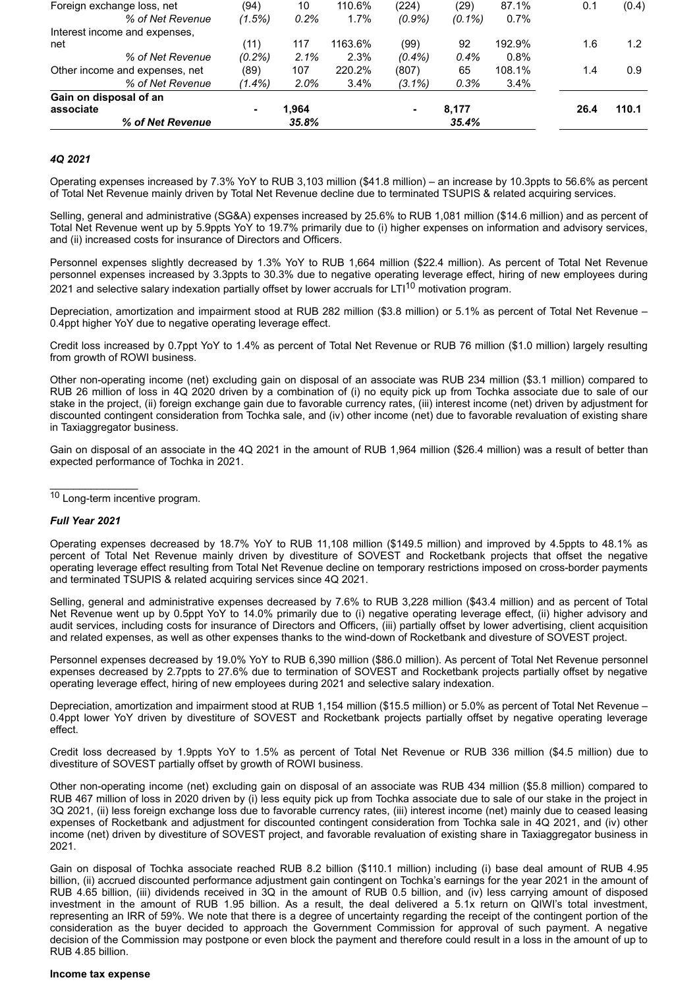| % of Net Revenue               |           | 35.8% |         |           | 35.4%     |         |      |       |
|--------------------------------|-----------|-------|---------|-----------|-----------|---------|------|-------|
| associate                      |           | 1.964 |         | ۰         | 8,177     |         | 26.4 | 110.1 |
| Gain on disposal of an         |           |       |         |           |           |         |      |       |
| % of Net Revenue               | $(1.4\%)$ | 2.0%  | 3.4%    | $(3.1\%)$ | 0.3%      | $3.4\%$ |      |       |
| Other income and expenses, net | (89)      | 107   | 220.2%  | (807)     | 65        | 108.1%  | 1.4  | 0.9   |
| % of Net Revenue               | $(0.2\%)$ | 2.1%  | 2.3%    | $(0.4\%)$ | 0.4%      | 0.8%    |      |       |
| net                            | (11)      | 117   | 1163.6% | (99)      | 92        | 192.9%  | 1.6  | 1.2   |
| Interest income and expenses.  |           |       |         |           |           |         |      |       |
| % of Net Revenue               | (1.5%)    | 0.2%  | 1.7%    | $(0.9\%)$ | $(0.1\%)$ | $0.7\%$ |      |       |
| Foreign exchange loss, net     | (94)      | 10    | 110.6%  | (224)     | (29)      | 87.1%   | 0.1  | (0.4) |

### *4Q 2021*

Operating expenses increased by 7.3% YoY to RUB 3,103 million (\$41.8 million) – an increase by 10.3ppts to 56.6% as percent of Total Net Revenue mainly driven by Total Net Revenue decline due to terminated TSUPIS & related acquiring services.

Selling, general and administrative (SG&A) expenses increased by 25.6% to RUB 1,081 million (\$14.6 million) and as percent of Total Net Revenue went up by 5.9ppts YoY to 19.7% primarily due to (i) higher expenses on information and advisory services, and (ii) increased costs for insurance of Directors and Officers.

Personnel expenses slightly decreased by 1.3% YoY to RUB 1,664 million (\$22.4 million). As percent of Total Net Revenue personnel expenses increased by 3.3ppts to 30.3% due to negative operating leverage effect, hiring of new employees during 2021 and selective salary indexation partially offset by lower accruals for LTI<sup>10</sup> motivation program.

Depreciation, amortization and impairment stood at RUB 282 million (\$3.8 million) or 5.1% as percent of Total Net Revenue -0.4ppt higher YoY due to negative operating leverage effect.

Credit loss increased by 0.7ppt YoY to 1.4% as percent of Total Net Revenue or RUB 76 million (\$1.0 million) largely resulting from growth of ROWI business.

Other non-operating income (net) excluding gain on disposal of an associate was RUB 234 million (\$3.1 million) compared to RUB 26 million of loss in 4Q 2020 driven by a combination of (i) no equity pick up from Tochka associate due to sale of our stake in the project, (ii) foreign exchange gain due to favorable currency rates, (iii) interest income (net) driven by adjustment for discounted contingent consideration from Tochka sale, and (iv) other income (net) due to favorable revaluation of existing share in Taxiaggregator business.

Gain on disposal of an associate in the 4Q 2021 in the amount of RUB 1,964 million (\$26.4 million) was a result of better than expected performance of Tochka in 2021.

<sup>10</sup> Long-term incentive program.

### *Full Year 2021*

 $\mathcal{L}=\mathcal{L}=\mathcal{L}=\mathcal{L}=\mathcal{L}=\mathcal{L}=\mathcal{L}=\mathcal{L}=\mathcal{L}=\mathcal{L}=\mathcal{L}=\mathcal{L}=\mathcal{L}=\mathcal{L}=\mathcal{L}=\mathcal{L}=\mathcal{L}=\mathcal{L}=\mathcal{L}=\mathcal{L}=\mathcal{L}=\mathcal{L}=\mathcal{L}=\mathcal{L}=\mathcal{L}=\mathcal{L}=\mathcal{L}=\mathcal{L}=\mathcal{L}=\mathcal{L}=\mathcal{L}=\mathcal{L}=\mathcal{L}=\mathcal{L}=\mathcal{L}=\mathcal{L}=\mathcal{$ 

Operating expenses decreased by 18.7% YoY to RUB 11,108 million (\$149.5 million) and improved by 4.5ppts to 48.1% as percent of Total Net Revenue mainly driven by divestiture of SOVEST and Rocketbank projects that offset the negative operating leverage effect resulting from Total Net Revenue decline on temporary restrictions imposed on cross-border payments and terminated TSUPIS & related acquiring services since 4Q 2021.

Selling, general and administrative expenses decreased by 7.6% to RUB 3,228 million (\$43.4 million) and as percent of Total Net Revenue went up by 0.5ppt YoY to 14.0% primarily due to (i) negative operating leverage effect, (ii) higher advisory and audit services, including costs for insurance of Directors and Officers, (iii) partially offset by lower advertising, client acquisition and related expenses, as well as other expenses thanks to the wind-down of Rocketbank and divesture of SOVEST project.

Personnel expenses decreased by 19.0% YoY to RUB 6,390 million (\$86.0 million). As percent of Total Net Revenue personnel expenses decreased by 2.7ppts to 27.6% due to termination of SOVEST and Rocketbank projects partially offset by negative operating leverage effect, hiring of new employees during 2021 and selective salary indexation.

Depreciation, amortization and impairment stood at RUB 1,154 million (\$15.5 million) or 5.0% as percent of Total Net Revenue – 0.4ppt lower YoY driven by divestiture of SOVEST and Rocketbank projects partially offset by negative operating leverage effect.

Credit loss decreased by 1.9ppts YoY to 1.5% as percent of Total Net Revenue or RUB 336 million (\$4.5 million) due to divestiture of SOVEST partially offset by growth of ROWI business.

Other non-operating income (net) excluding gain on disposal of an associate was RUB 434 million (\$5.8 million) compared to RUB 467 million of loss in 2020 driven by (i) less equity pick up from Tochka associate due to sale of our stake in the project in 3Q 2021, (ii) less foreign exchange loss due to favorable currency rates, (iii) interest income (net) mainly due to ceased leasing expenses of Rocketbank and adjustment for discounted contingent consideration from Tochka sale in 4Q 2021, and (iv) other income (net) driven by divestiture of SOVEST project, and favorable revaluation of existing share in Taxiaggregator business in 2021.

Gain on disposal of Tochka associate reached RUB 8.2 billion (\$110.1 million) including (i) base deal amount of RUB 4.95 billion, (ii) accrued discounted performance adjustment gain contingent on Tochka's earnings for the year 2021 in the amount of RUB 4.65 billion, (iii) dividends received in 3Q in the amount of RUB 0.5 billion, and (iv) less carrying amount of disposed investment in the amount of RUB 1.95 billion. As a result, the deal delivered a 5.1x return on QIWI's total investment, representing an IRR of 59%. We note that there is a degree of uncertainty regarding the receipt of the contingent portion of the consideration as the buyer decided to approach the Government Commission for approval of such payment. A negative decision of the Commission may postpone or even block the payment and therefore could result in a loss in the amount of up to RUB 4.85 billion.

#### **Income tax expense**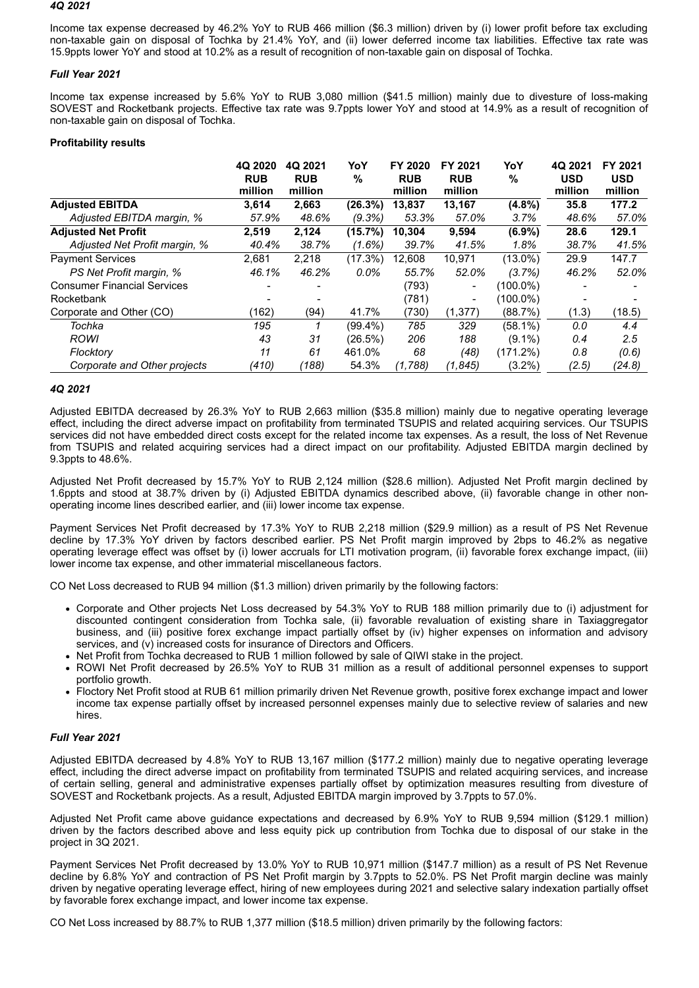#### *4Q 2021*

Income tax expense decreased by 46.2% YoY to RUB 466 million (\$6.3 million) driven by (i) lower profit before tax excluding non-taxable gain on disposal of Tochka by 21.4% YoY, and (ii) lower deferred income tax liabilities. Effective tax rate was 15.9ppts lower YoY and stood at 10.2% as a result of recognition of non-taxable gain on disposal of Tochka.

# *Full Year 2021*

Income tax expense increased by 5.6% YoY to RUB 3,080 million (\$41.5 million) mainly due to divesture of loss-making SOVEST and Rocketbank projects. Effective tax rate was 9.7ppts lower YoY and stood at 14.9% as a result of recognition of non-taxable gain on disposal of Tochka.

# **Profitability results**

|                                    | 4Q 2020<br><b>RUB</b><br>million | 4Q 2021<br><b>RUB</b><br>million | YoY<br>%   | FY 2020<br><b>RUB</b><br>million | FY 2021<br><b>RUB</b><br>million | YoY<br>%   | 4Q 2021<br><b>USD</b><br>million | FY 2021<br><b>USD</b><br>million |
|------------------------------------|----------------------------------|----------------------------------|------------|----------------------------------|----------------------------------|------------|----------------------------------|----------------------------------|
| <b>Adjusted EBITDA</b>             | 3,614                            | 2,663                            | (26.3%)    | 13.837                           | 13,167                           | $(4.8\%)$  | 35.8                             | 177.2                            |
| Adjusted EBITDA margin, %          | 57.9%                            | 48.6%                            | (9.3%)     | 53.3%                            | 57.0%                            | 3.7%       | 48.6%                            | 57.0%                            |
| <b>Adjusted Net Profit</b>         | 2,519                            | 2,124                            | (15.7%)    | 10.304                           | 9,594                            | $(6.9\%)$  | 28.6                             | 129.1                            |
| Adjusted Net Profit margin, %      | 40.4%                            | 38.7%                            | (1.6%)     | 39.7%                            | 41.5%                            | 1.8%       | 38.7%                            | 41.5%                            |
| <b>Payment Services</b>            | 2,681                            | 2,218                            | (17.3%)    | 12,608                           | 10,971                           | $(13.0\%)$ | 29.9                             | 147.7                            |
| PS Net Profit margin, %            | 46.1%                            | 46.2%                            | $0.0\%$    | 55.7%                            | 52.0%                            | (3.7%)     | 46.2%                            | 52.0%                            |
| <b>Consumer Financial Services</b> |                                  |                                  |            | (793)                            | $\overline{\phantom{a}}$         | (100.0%)   |                                  |                                  |
| Rocketbank                         |                                  |                                  |            | (781)                            | -                                | (100.0%)   |                                  |                                  |
| Corporate and Other (CO)           | (162)                            | (94)                             | 41.7%      | (730)                            | (1, 377)                         | (88.7%)    | (1.3)                            | (18.5)                           |
| Tochka                             | 195                              |                                  | $(99.4\%)$ | 785                              | 329                              | $(58.1\%)$ | 0.0                              | 4.4                              |
| <b>ROWI</b>                        | 43                               | 31                               | (26.5%)    | 206                              | 188                              | $(9.1\%)$  | 0.4                              | 2.5                              |
| Flocktory                          | 11                               | 61                               | 461.0%     | 68                               | (48)                             | (171.2%)   | 0.8                              | (0.6)                            |
| Corporate and Other projects       | (410)                            | (188)                            | 54.3%      | (1,788)                          | (1.845)                          | $(3.2\%)$  | (2.5)                            | (24.8)                           |

# *4Q 2021*

Adjusted EBITDA decreased by 26.3% YoY to RUB 2,663 million (\$35.8 million) mainly due to negative operating leverage effect, including the direct adverse impact on profitability from terminated TSUPIS and related acquiring services. Our TSUPIS services did not have embedded direct costs except for the related income tax expenses. As a result, the loss of Net Revenue from TSUPIS and related acquiring services had a direct impact on our profitability. Adjusted EBITDA margin declined by 9.3ppts to 48.6%.

Adjusted Net Profit decreased by 15.7% YoY to RUB 2,124 million (\$28.6 million). Adjusted Net Profit margin declined by 1.6ppts and stood at 38.7% driven by (i) Adjusted EBITDA dynamics described above, (ii) favorable change in other nonoperating income lines described earlier, and (iii) lower income tax expense.

Payment Services Net Profit decreased by 17.3% YoY to RUB 2,218 million (\$29.9 million) as a result of PS Net Revenue decline by 17.3% YoY driven by factors described earlier. PS Net Profit margin improved by 2bps to 46.2% as negative operating leverage effect was offset by (i) lower accruals for LTI motivation program, (ii) favorable forex exchange impact, (iii) lower income tax expense, and other immaterial miscellaneous factors.

CO Net Loss decreased to RUB 94 million (\$1.3 million) driven primarily by the following factors:

- Corporate and Other projects Net Loss decreased by 54.3% YoY to RUB 188 million primarily due to (i) adjustment for discounted contingent consideration from Tochka sale, (ii) favorable revaluation of existing share in Taxiaggregator business, and (iii) positive forex exchange impact partially offset by (iv) higher expenses on information and advisory services, and (v) increased costs for insurance of Directors and Officers.
- Net Profit from Tochka decreased to RUB 1 million followed by sale of QIWI stake in the project.
- ROWI Net Profit decreased by 26.5% YoY to RUB 31 million as a result of additional personnel expenses to support portfolio growth.
- Floctory Net Profit stood at RUB 61 million primarily driven Net Revenue growth, positive forex exchange impact and lower income tax expense partially offset by increased personnel expenses mainly due to selective review of salaries and new hires.

# *Full Year 2021*

Adjusted EBITDA decreased by 4.8% YoY to RUB 13,167 million (\$177.2 million) mainly due to negative operating leverage effect, including the direct adverse impact on profitability from terminated TSUPIS and related acquiring services, and increase of certain selling, general and administrative expenses partially offset by optimization measures resulting from divesture of SOVEST and Rocketbank projects. As a result, Adjusted EBITDA margin improved by 3.7ppts to 57.0%.

Adjusted Net Profit came above guidance expectations and decreased by 6.9% YoY to RUB 9,594 million (\$129.1 million) driven by the factors described above and less equity pick up contribution from Tochka due to disposal of our stake in the project in 3Q 2021.

Payment Services Net Profit decreased by 13.0% YoY to RUB 10,971 million (\$147.7 million) as a result of PS Net Revenue decline by 6.8% YoY and contraction of PS Net Profit margin by 3.7ppts to 52.0%. PS Net Profit margin decline was mainly driven by negative operating leverage effect, hiring of new employees during 2021 and selective salary indexation partially offset by favorable forex exchange impact, and lower income tax expense.

CO Net Loss increased by 88.7% to RUB 1,377 million (\$18.5 million) driven primarily by the following factors: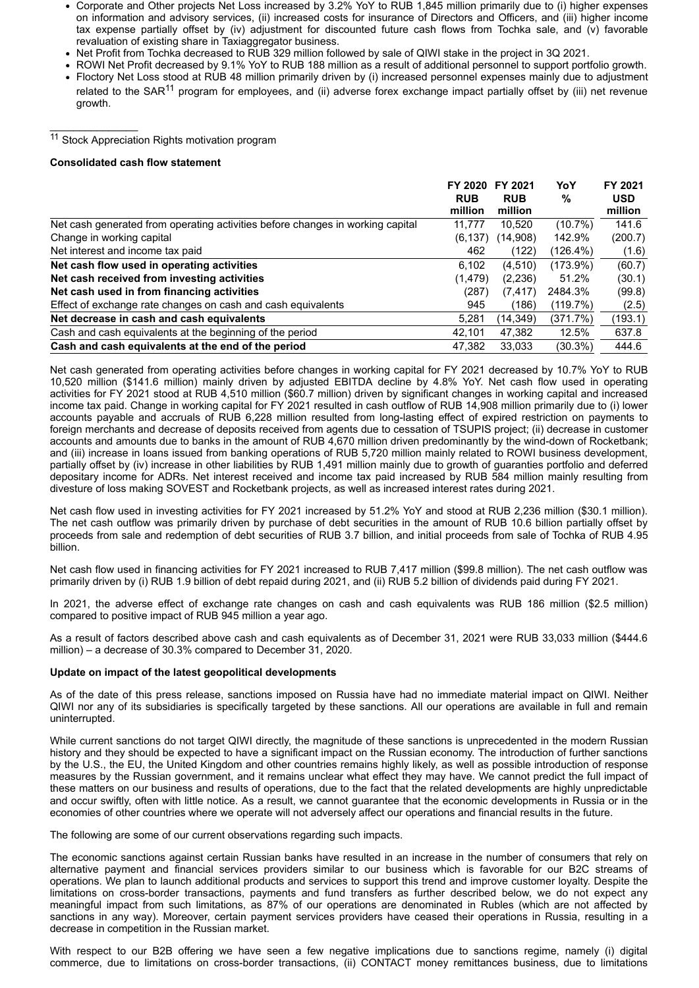- Corporate and Other projects Net Loss increased by 3.2% YoY to RUB 1,845 million primarily due to (i) higher expenses on information and advisory services, (ii) increased costs for insurance of Directors and Officers, and (iii) higher income tax expense partially offset by (iv) adjustment for discounted future cash flows from Tochka sale, and (v) favorable revaluation of existing share in Taxiaggregator business.
- Net Profit from Tochka decreased to RUB 329 million followed by sale of QIWI stake in the project in 3Q 2021.
- ROWI Net Profit decreased by 9.1% YoY to RUB 188 million as a result of additional personnel to support portfolio growth.
- Floctory Net Loss stood at RUB 48 million primarily driven by (i) increased personnel expenses mainly due to adjustment related to the SAR<sup>11</sup> program for employees, and (ii) adverse forex exchange impact partially offset by (iii) net revenue growth.

<sup>11</sup> Stock Appreciation Rights motivation program

### **Consolidated cash flow statement**

 $\mathcal{L}=\mathcal{L}=\mathcal{L}=\mathcal{L}=\mathcal{L}=\mathcal{L}=\mathcal{L}=\mathcal{L}=\mathcal{L}=\mathcal{L}=\mathcal{L}=\mathcal{L}=\mathcal{L}=\mathcal{L}=\mathcal{L}=\mathcal{L}=\mathcal{L}=\mathcal{L}=\mathcal{L}=\mathcal{L}=\mathcal{L}=\mathcal{L}=\mathcal{L}=\mathcal{L}=\mathcal{L}=\mathcal{L}=\mathcal{L}=\mathcal{L}=\mathcal{L}=\mathcal{L}=\mathcal{L}=\mathcal{L}=\mathcal{L}=\mathcal{L}=\mathcal{L}=\mathcal{L}=\mathcal{$ 

|                                                                                | FY 2020<br><b>RUB</b> | FY 2021<br><b>RUB</b> | YoY<br>%   | FY 2021<br><b>USD</b> |
|--------------------------------------------------------------------------------|-----------------------|-----------------------|------------|-----------------------|
|                                                                                | million               | million               |            | million               |
| Net cash generated from operating activities before changes in working capital | 11.777                | 10.520                | $(10.7\%)$ | 141.6                 |
| Change in working capital                                                      | (6, 137)              | (14.908)              | 142.9%     | (200.7)               |
| Net interest and income tax paid                                               | 462                   | (122)                 | (126.4%)   | (1.6)                 |
| Net cash flow used in operating activities                                     | 6.102                 | (4,510)               | (173.9%)   | (60.7)                |
| Net cash received from investing activities                                    | (1,479)               | (2,236)               | 51.2%      | (30.1)                |
| Net cash used in from financing activities                                     | (287)                 | (7, 417)              | 2484.3%    | (99.8)                |
| Effect of exchange rate changes on cash and cash equivalents                   | 945                   | (186)                 | (119.7%)   | (2.5)                 |
| Net decrease in cash and cash equivalents                                      | 5.281                 | (14, 349)             | (371.7%)   | (193.1)               |
| Cash and cash equivalents at the beginning of the period                       | 42.101                | 47,382                | 12.5%      | 637.8                 |
| Cash and cash equivalents at the end of the period                             | 47,382                | 33.033                | $(30.3\%)$ | 444.6                 |

Net cash generated from operating activities before changes in working capital for FY 2021 decreased by 10.7% YoY to RUB 10,520 million (\$141.6 million) mainly driven by adjusted EBITDA decline by 4.8% YoY. Net cash flow used in operating activities for FY 2021 stood at RUB 4,510 million (\$60.7 million) driven by significant changes in working capital and increased income tax paid. Change in working capital for FY 2021 resulted in cash outflow of RUB 14,908 million primarily due to (i) lower accounts payable and accruals of RUB 6,228 million resulted from long-lasting effect of expired restriction on payments to foreign merchants and decrease of deposits received from agents due to cessation of TSUPIS project; (ii) decrease in customer accounts and amounts due to banks in the amount of RUB 4,670 million driven predominantly by the wind-down of Rocketbank; and (iii) increase in loans issued from banking operations of RUB 5,720 million mainly related to ROWI business development, partially offset by (iv) increase in other liabilities by RUB 1,491 million mainly due to growth of guaranties portfolio and deferred depositary income for ADRs. Net interest received and income tax paid increased by RUB 584 million mainly resulting from divesture of loss making SOVEST and Rocketbank projects, as well as increased interest rates during 2021.

Net cash flow used in investing activities for FY 2021 increased by 51.2% YoY and stood at RUB 2,236 million (\$30.1 million). The net cash outflow was primarily driven by purchase of debt securities in the amount of RUB 10.6 billion partially offset by proceeds from sale and redemption of debt securities of RUB 3.7 billion, and initial proceeds from sale of Tochka of RUB 4.95 billion.

Net cash flow used in financing activities for FY 2021 increased to RUB 7,417 million (\$99.8 million). The net cash outflow was primarily driven by (i) RUB 1.9 billion of debt repaid during 2021, and (ii) RUB 5.2 billion of dividends paid during FY 2021.

In 2021, the adverse effect of exchange rate changes on cash and cash equivalents was RUB 186 million (\$2.5 million) compared to positive impact of RUB 945 million a year ago.

As a result of factors described above cash and cash equivalents as of December 31, 2021 were RUB 33,033 million (\$444.6 million) – a decrease of 30.3% compared to December 31, 2020.

### **Update on impact of the latest geopolitical developments**

As of the date of this press release, sanctions imposed on Russia have had no immediate material impact on QIWI. Neither QIWI nor any of its subsidiaries is specifically targeted by these sanctions. All our operations are available in full and remain uninterrupted.

While current sanctions do not target QIWI directly, the magnitude of these sanctions is unprecedented in the modern Russian history and they should be expected to have a significant impact on the Russian economy. The introduction of further sanctions by the U.S., the EU, the United Kingdom and other countries remains highly likely, as well as possible introduction of response measures by the Russian government, and it remains unclear what effect they may have. We cannot predict the full impact of these matters on our business and results of operations, due to the fact that the related developments are highly unpredictable and occur swiftly, often with little notice. As a result, we cannot guarantee that the economic developments in Russia or in the economies of other countries where we operate will not adversely affect our operations and financial results in the future.

The following are some of our current observations regarding such impacts.

The economic sanctions against certain Russian banks have resulted in an increase in the number of consumers that rely on alternative payment and financial services providers similar to our business which is favorable for our B2C streams of operations. We plan to launch additional products and services to support this trend and improve customer loyalty. Despite the limitations on cross-border transactions, payments and fund transfers as further described below, we do not expect any meaningful impact from such limitations, as 87% of our operations are denominated in Rubles (which are not affected by sanctions in any way). Moreover, certain payment services providers have ceased their operations in Russia, resulting in a decrease in competition in the Russian market.

With respect to our B2B offering we have seen a few negative implications due to sanctions regime, namely (i) digital commerce, due to limitations on cross-border transactions, (ii) CONTACT money remittances business, due to limitations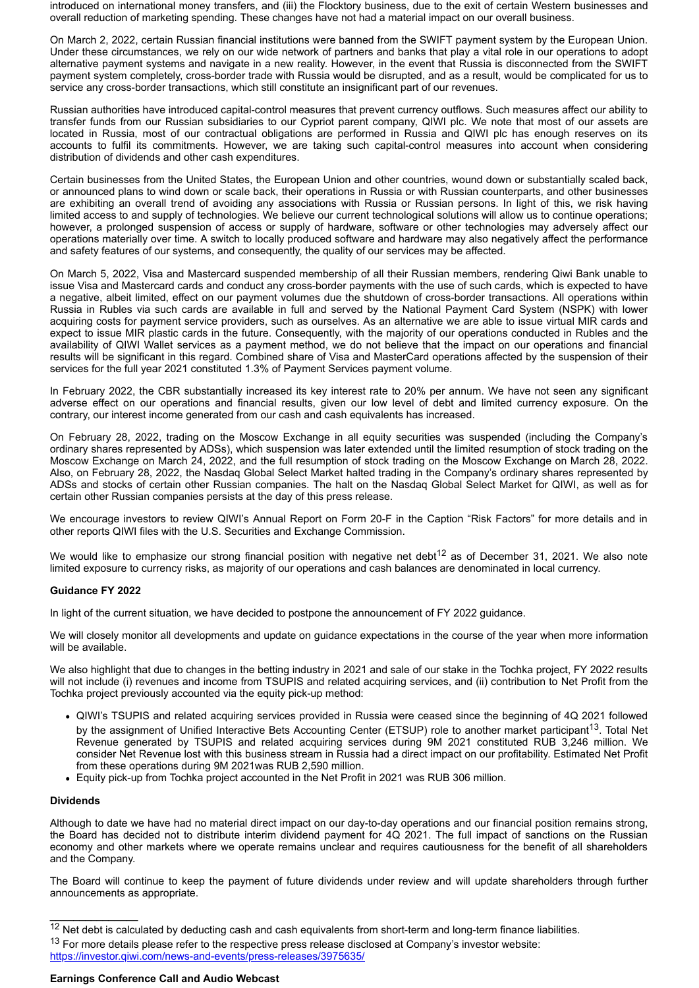introduced on international money transfers, and (iii) the Flocktory business, due to the exit of certain Western businesses and overall reduction of marketing spending. These changes have not had a material impact on our overall business.

On March 2, 2022, certain Russian financial institutions were banned from the SWIFT payment system by the European Union. Under these circumstances, we rely on our wide network of partners and banks that play a vital role in our operations to adopt alternative payment systems and navigate in a new reality. However, in the event that Russia is disconnected from the SWIFT payment system completely, cross-border trade with Russia would be disrupted, and as a result, would be complicated for us to service any cross-border transactions, which still constitute an insignificant part of our revenues.

Russian authorities have introduced capital-control measures that prevent currency outflows. Such measures affect our ability to transfer funds from our Russian subsidiaries to our Cypriot parent company, QIWI plc. We note that most of our assets are located in Russia, most of our contractual obligations are performed in Russia and QIWI plc has enough reserves on its accounts to fulfil its commitments. However, we are taking such capital-control measures into account when considering distribution of dividends and other cash expenditures.

Certain businesses from the United States, the European Union and other countries, wound down or substantially scaled back, or announced plans to wind down or scale back, their operations in Russia or with Russian counterparts, and other businesses are exhibiting an overall trend of avoiding any associations with Russia or Russian persons. In light of this, we risk having limited access to and supply of technologies. We believe our current technological solutions will allow us to continue operations; however, a prolonged suspension of access or supply of hardware, software or other technologies may adversely affect our operations materially over time. A switch to locally produced software and hardware may also negatively affect the performance and safety features of our systems, and consequently, the quality of our services may be affected.

On March 5, 2022, Visa and Mastercard suspended membership of all their Russian members, rendering Qiwi Bank unable to issue Visa and Mastercard cards and conduct any cross-border payments with the use of such cards, which is expected to have a negative, albeit limited, effect on our payment volumes due the shutdown of cross-border transactions. All operations within Russia in Rubles via such cards are available in full and served by the National Payment Card System (NSPK) with lower acquiring costs for payment service providers, such as ourselves. As an alternative we are able to issue virtual MIR cards and expect to issue MIR plastic cards in the future. Consequently, with the majority of our operations conducted in Rubles and the availability of QIWI Wallet services as a payment method, we do not believe that the impact on our operations and financial results will be significant in this regard. Combined share of Visa and MasterCard operations affected by the suspension of their services for the full year 2021 constituted 1.3% of Payment Services payment volume.

In February 2022, the CBR substantially increased its key interest rate to 20% per annum. We have not seen any significant adverse effect on our operations and financial results, given our low level of debt and limited currency exposure. On the contrary, our interest income generated from our cash and cash equivalents has increased.

On February 28, 2022, trading on the Moscow Exchange in all equity securities was suspended (including the Company's ordinary shares represented by ADSs), which suspension was later extended until the limited resumption of stock trading on the Moscow Exchange on March 24, 2022, and the full resumption of stock trading on the Moscow Exchange on March 28, 2022. Also, on February 28, 2022, the Nasdaq Global Select Market halted trading in the Company's ordinary shares represented by ADSs and stocks of certain other Russian companies. The halt on the Nasdaq Global Select Market for QIWI, as well as for certain other Russian companies persists at the day of this press release.

We encourage investors to review QIWI's Annual Report on Form 20-F in the Caption "Risk Factors" for more details and in other reports QIWI files with the U.S. Securities and Exchange Commission.

We would like to emphasize our strong financial position with negative net debt<sup>12</sup> as of December 31, 2021. We also note limited exposure to currency risks, as majority of our operations and cash balances are denominated in local currency.

### **Guidance FY 2022**

In light of the current situation, we have decided to postpone the announcement of FY 2022 guidance.

We will closely monitor all developments and update on guidance expectations in the course of the year when more information will be available.

We also highlight that due to changes in the betting industry in 2021 and sale of our stake in the Tochka project, FY 2022 results will not include (i) revenues and income from TSUPIS and related acquiring services, and (ii) contribution to Net Profit from the Tochka project previously accounted via the equity pick-up method:

- QIWI's TSUPIS and related acquiring services provided in Russia were ceased since the beginning of 4Q 2021 followed by the assignment of Unified Interactive Bets Accounting Center (ETSUP) role to another market participant<sup>13</sup>. Total Net Revenue generated by TSUPIS and related acquiring services during 9M 2021 constituted RUB 3,246 million. We consider Net Revenue lost with this business stream in Russia had a direct impact on our profitability. Estimated Net Profit from these operations during 9M 2021was RUB 2,590 million.
- Equity pick-up from Tochka project accounted in the Net Profit in 2021 was RUB 306 million.

### **Dividends**

 $\overline{\phantom{a}}$  , where  $\overline{\phantom{a}}$ 

Although to date we have had no material direct impact on our day-to-day operations and our financial position remains strong, the Board has decided not to distribute interim dividend payment for 4Q 2021. The full impact of sanctions on the Russian economy and other markets where we operate remains unclear and requires cautiousness for the benefit of all shareholders and the Company.

The Board will continue to keep the payment of future dividends under review and will update shareholders through further announcements as appropriate.

<sup>&</sup>lt;sup>12</sup> Net debt is calculated by deducting cash and cash equivalents from short-term and long-term finance liabilities.

<sup>&</sup>lt;sup>13</sup> For more details please refer to the respective press release disclosed at Company's investor website: [https://investor.qiwi.com/news-and-events/press-releases/3975635/](https://www.globenewswire.com/Tracker?data=Nw4wJgsc6TeMaBEdb2WOovJNdxp0VmgOSAPPBkr0yk355GysQtmmsDlGtDVRhon2JC4FWvWCU5AA9gg4vyQ5fbuhrSyoiPsp6sWdtENq4c-EAD_nhWAVaSwSzY3sldVwXYT4g1OpkIJaZviLvXPPqjL8XEokyU1nNY7TkyHlElxku7wc6b266BDoEQ67jN28vdGFGlEMx6RwGl8v6ihIUw==)

**Earnings Conference Call and Audio Webcast**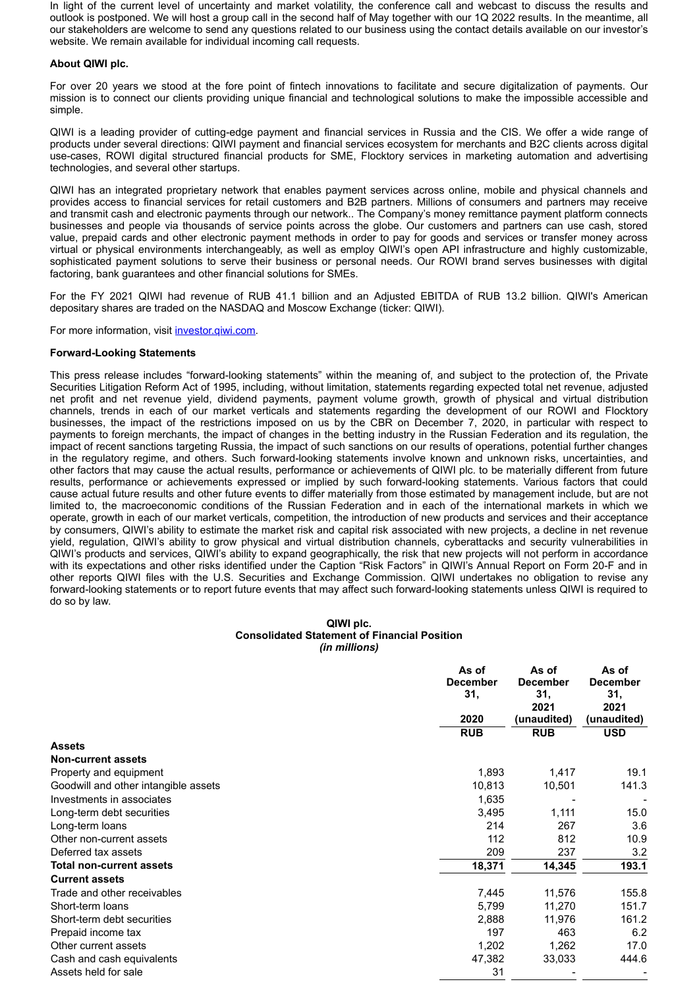In light of the current level of uncertainty and market volatility, the conference call and webcast to discuss the results and outlook is postponed. We will host a group call in the second half of May together with our 1Q 2022 results. In the meantime, all our stakeholders are welcome to send any questions related to our business using the contact details available on our investor's website. We remain available for individual incoming call requests.

### **About QIWI plc.**

For over 20 years we stood at the fore point of fintech innovations to facilitate and secure digitalization of payments. Our mission is to connect our clients providing unique financial and technological solutions to make the impossible accessible and simple.

QIWI is a leading provider of cutting-edge payment and financial services in Russia and the CIS. We offer a wide range of products under several directions: QIWI payment and financial services ecosystem for merchants and B2C clients across digital use-cases, ROWI digital structured financial products for SME, Flocktory services in marketing automation and advertising technologies, and several other startups.

QIWI has an integrated proprietary network that enables payment services across online, mobile and physical channels and provides access to financial services for retail customers and B2B partners. Millions of consumers and partners may receive and transmit cash and electronic payments through our network.. The Company's money remittance payment platform connects businesses and people via thousands of service points across the globe. Our customers and partners can use cash, stored value, prepaid cards and other electronic payment methods in order to pay for goods and services or transfer money across virtual or physical environments interchangeably, as well as employ QIWI's open API infrastructure and highly customizable, sophisticated payment solutions to serve their business or personal needs. Our ROWI brand serves businesses with digital factoring, bank guarantees and other financial solutions for SMEs.

For the FY 2021 QIWI had revenue of RUB 41.1 billion and an Adjusted EBITDA of RUB 13.2 billion. QIWI's American depositary shares are traded on the NASDAQ and Moscow Exchange (ticker: QIWI).

For more information, visit [investor.qiwi.com.](https://www.globenewswire.com/Tracker?data=HT_fExhwh1NMnrrxRT6YknYvvpeZ94KDGPAvsT7ZzUsVeDGpruM66G07btWROZVbndKw1bFe9UYkLWfer9g0t7d3c203LEVcGFM_Nlzv7T0=)

### **Forward-Looking Statements**

This press release includes "forward-looking statements" within the meaning of, and subject to the protection of, the Private Securities Litigation Reform Act of 1995, including, without limitation, statements regarding expected total net revenue, adjusted net profit and net revenue yield, dividend payments, payment volume growth, growth of physical and virtual distribution channels, trends in each of our market verticals and statements regarding the development of our ROWI and Flocktory businesses, the impact of the restrictions imposed on us by the CBR on December 7, 2020, in particular with respect to payments to foreign merchants, the impact of changes in the betting industry in the Russian Federation and its regulation, the impact of recent sanctions targeting Russia, the impact of such sanctions on our results of operations, potential further changes in the regulatory regime, and others. Such forward-looking statements involve known and unknown risks, uncertainties, and other factors that may cause the actual results, performance or achievements of QIWI plc. to be materially different from future results, performance or achievements expressed or implied by such forward-looking statements. Various factors that could cause actual future results and other future events to differ materially from those estimated by management include, but are not limited to, the macroeconomic conditions of the Russian Federation and in each of the international markets in which we operate, growth in each of our market verticals, competition, the introduction of new products and services and their acceptance by consumers, QIWI's ability to estimate the market risk and capital risk associated with new projects, a decline in net revenue yield, regulation, QIWI's ability to grow physical and virtual distribution channels, cyberattacks and security vulnerabilities in QIWI's products and services, QIWI's ability to expand geographically, the risk that new projects will not perform in accordance with its expectations and other risks identified under the Caption "Risk Factors" in QIWI's Annual Report on Form 20-F and in other reports QIWI files with the U.S. Securities and Exchange Commission. QIWI undertakes no obligation to revise any forward-looking statements or to report future events that may affect such forward-looking statements unless QIWI is required to do so by law.

#### **QIWI plc. Consolidated Statement of Financial Position** *(in millions)*

|                                      | As of<br><b>December</b><br>31, | As of<br><b>December</b><br>31, | As of<br><b>December</b><br>31, |
|--------------------------------------|---------------------------------|---------------------------------|---------------------------------|
|                                      | 2020                            | 2021<br>(unaudited)             | 2021<br>(unaudited)             |
|                                      | <b>RUB</b>                      | <b>RUB</b>                      | <b>USD</b>                      |
| <b>Assets</b>                        |                                 |                                 |                                 |
| <b>Non-current assets</b>            |                                 |                                 |                                 |
| Property and equipment               | 1,893                           | 1,417                           | 19.1                            |
| Goodwill and other intangible assets | 10,813                          | 10,501                          | 141.3                           |
| Investments in associates            | 1,635                           |                                 |                                 |
| Long-term debt securities            | 3,495                           | 1,111                           | 15.0                            |
| Long-term loans                      | 214                             | 267                             | 3.6                             |
| Other non-current assets             | 112                             | 812                             | 10.9                            |
| Deferred tax assets                  | 209                             | 237                             | 3.2                             |
| <b>Total non-current assets</b>      | 18,371                          | 14,345                          | 193.1                           |
| <b>Current assets</b>                |                                 |                                 |                                 |
| Trade and other receivables          | 7,445                           | 11,576                          | 155.8                           |
| Short-term loans                     | 5,799                           | 11,270                          | 151.7                           |
| Short-term debt securities           | 2,888                           | 11,976                          | 161.2                           |
| Prepaid income tax                   | 197                             | 463                             | 6.2                             |
| Other current assets                 | 1,202                           | 1,262                           | 17.0                            |
| Cash and cash equivalents            | 47,382                          | 33,033                          | 444.6                           |
| Assets held for sale                 | 31                              |                                 |                                 |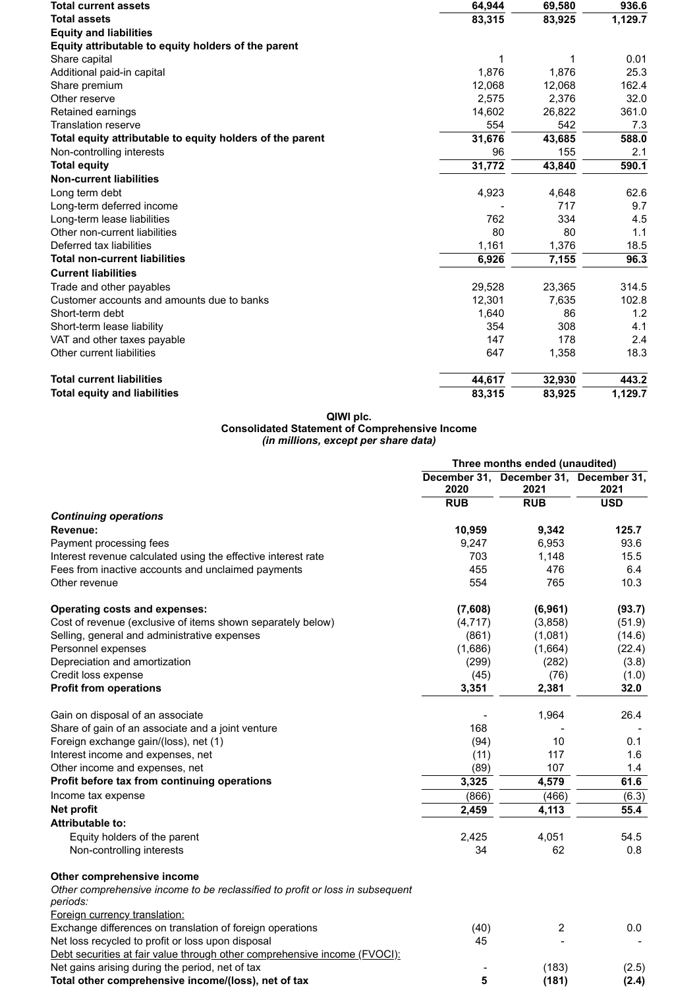| <b>Total current assets</b>                               | 64,944 | 69,580 | 936.6   |  |
|-----------------------------------------------------------|--------|--------|---------|--|
| <b>Total assets</b>                                       | 83,315 | 83,925 | 1,129.7 |  |
| <b>Equity and liabilities</b>                             |        |        |         |  |
| Equity attributable to equity holders of the parent       |        |        |         |  |
| Share capital                                             | 1      |        | 0.01    |  |
| Additional paid-in capital                                | 1,876  | 1,876  | 25.3    |  |
| Share premium                                             | 12,068 | 12,068 | 162.4   |  |
| Other reserve                                             | 2,575  | 2,376  | 32.0    |  |
| Retained earnings                                         | 14,602 | 26,822 | 361.0   |  |
| <b>Translation reserve</b>                                | 554    | 542    | 7.3     |  |
| Total equity attributable to equity holders of the parent | 31,676 | 43,685 | 588.0   |  |
| Non-controlling interests                                 | 96     | 155    | 2.1     |  |
| <b>Total equity</b>                                       | 31,772 | 43,840 | 590.1   |  |
| <b>Non-current liabilities</b>                            |        |        |         |  |
| Long term debt                                            | 4,923  | 4,648  | 62.6    |  |
| Long-term deferred income                                 |        | 717    | 9.7     |  |
| Long-term lease liabilities                               | 762    | 334    | 4.5     |  |
| Other non-current liabilities                             | 80     | 80     | 1.1     |  |
| Deferred tax liabilities                                  | 1,161  | 1,376  | 18.5    |  |
| <b>Total non-current liabilities</b>                      | 6,926  | 7,155  | 96.3    |  |
| <b>Current liabilities</b>                                |        |        |         |  |
| Trade and other payables                                  | 29,528 | 23,365 | 314.5   |  |
| Customer accounts and amounts due to banks                | 12,301 | 7,635  | 102.8   |  |
| Short-term debt                                           | 1,640  | 86     | 1.2     |  |
| Short-term lease liability                                | 354    | 308    | 4.1     |  |
| VAT and other taxes payable                               | 147    | 178    | 2.4     |  |
| Other current liabilities                                 | 647    | 1,358  | 18.3    |  |
| <b>Total current liabilities</b>                          | 44,617 | 32,930 | 443.2   |  |
| <b>Total equity and liabilities</b>                       | 83,315 | 83,925 | 1,129.7 |  |

### **QIWI plc. Consolidated Statement of Comprehensive Income** *(in millions, except per share data)*

|                                                                                           |            | Three months ended (unaudited)                 |            |  |  |
|-------------------------------------------------------------------------------------------|------------|------------------------------------------------|------------|--|--|
|                                                                                           | 2020       | December 31, December 31, December 31,<br>2021 | 2021       |  |  |
|                                                                                           | <b>RUB</b> | <b>RUB</b>                                     | <b>USD</b> |  |  |
| <b>Continuing operations</b>                                                              |            |                                                |            |  |  |
| Revenue:                                                                                  | 10,959     | 9,342                                          | 125.7      |  |  |
| Payment processing fees                                                                   | 9,247      | 6,953                                          | 93.6       |  |  |
| Interest revenue calculated using the effective interest rate                             | 703        | 1,148                                          | 15.5       |  |  |
| Fees from inactive accounts and unclaimed payments                                        | 455        | 476                                            | 6.4        |  |  |
| Other revenue                                                                             | 554        | 765                                            | 10.3       |  |  |
| <b>Operating costs and expenses:</b>                                                      | (7,608)    | (6,961)                                        | (93.7)     |  |  |
| Cost of revenue (exclusive of items shown separately below)                               | (4, 717)   | (3,858)                                        | (51.9)     |  |  |
| Selling, general and administrative expenses                                              | (861)      | (1,081)                                        | (14.6)     |  |  |
| Personnel expenses                                                                        | (1,686)    | (1,664)                                        | (22.4)     |  |  |
| Depreciation and amortization                                                             | (299)      | (282)                                          | (3.8)      |  |  |
| Credit loss expense                                                                       | (45)       | (76)                                           | (1.0)      |  |  |
| <b>Profit from operations</b>                                                             | 3,351      | 2,381                                          | 32.0       |  |  |
| Gain on disposal of an associate                                                          |            | 1,964                                          | 26.4       |  |  |
| Share of gain of an associate and a joint venture                                         | 168        |                                                |            |  |  |
| Foreign exchange gain/(loss), net (1)                                                     | (94)       | 10                                             | 0.1        |  |  |
| Interest income and expenses, net                                                         | (11)       | 117                                            | 1.6        |  |  |
| Other income and expenses, net                                                            | (89)       | 107                                            | 1.4        |  |  |
| Profit before tax from continuing operations                                              | 3,325      | 4,579                                          | 61.6       |  |  |
| Income tax expense                                                                        | (866)      | (466)                                          | (6.3)      |  |  |
| Net profit                                                                                | 2,459      | 4,113                                          | 55.4       |  |  |
| Attributable to:                                                                          |            |                                                |            |  |  |
| Equity holders of the parent                                                              | 2,425      | 4,051                                          | 54.5       |  |  |
| Non-controlling interests                                                                 | 34         | 62                                             | 0.8        |  |  |
| Other comprehensive income                                                                |            |                                                |            |  |  |
| Other comprehensive income to be reclassified to profit or loss in subsequent<br>periods: |            |                                                |            |  |  |
| Foreign currency translation:                                                             |            |                                                |            |  |  |
| Exchange differences on translation of foreign operations                                 | (40)       | 2                                              | 0.0        |  |  |
| Net loss recycled to profit or loss upon disposal                                         | 45         |                                                |            |  |  |
| Debt securities at fair value through other comprehensive income (FVOCI):                 |            |                                                |            |  |  |
| Net gains arising during the period, net of tax                                           |            | (183)                                          | (2.5)      |  |  |
| Total other comprehensive income/(loss), net of tax                                       | 5          | (181)                                          | (2.4)      |  |  |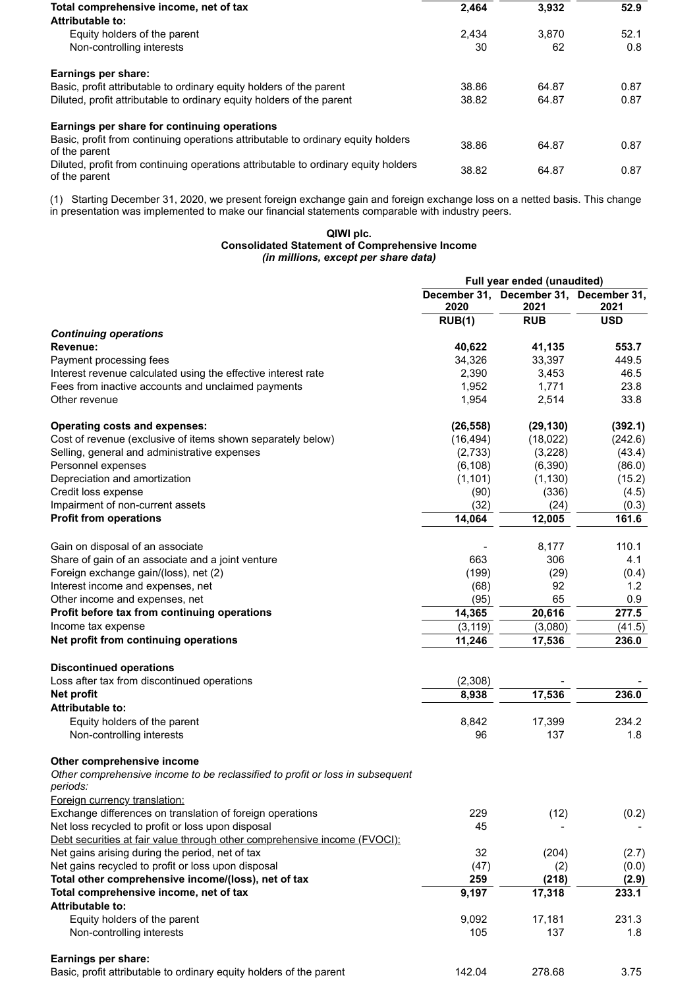| Total comprehensive income, net of tax                                                              | 2.464 | 3.932 | 52.9 |
|-----------------------------------------------------------------------------------------------------|-------|-------|------|
| Attributable to:                                                                                    |       |       |      |
| Equity holders of the parent                                                                        | 2.434 | 3.870 | 52.1 |
| Non-controlling interests                                                                           | 30    | 62    | 0.8  |
| Earnings per share:                                                                                 |       |       |      |
| Basic, profit attributable to ordinary equity holders of the parent                                 | 38.86 | 64.87 | 0.87 |
| Diluted, profit attributable to ordinary equity holders of the parent                               | 38.82 | 64.87 | 0.87 |
| Earnings per share for continuing operations                                                        |       |       |      |
| Basic, profit from continuing operations attributable to ordinary equity holders<br>of the parent   | 38.86 | 64.87 | 0.87 |
| Diluted, profit from continuing operations attributable to ordinary equity holders<br>of the parent | 38.82 | 64.87 | 0.87 |
|                                                                                                     |       |       |      |

(1) Starting December 31, 2020, we present foreign exchange gain and foreign exchange loss on a netted basis. This change in presentation was implemented to make our financial statements comparable with industry peers.

#### **QIWI plc. Consolidated Statement of Comprehensive Income** *(in millions, except per share data)*

|                                                                                            |           | Full year ended (unaudited)                    |            |
|--------------------------------------------------------------------------------------------|-----------|------------------------------------------------|------------|
|                                                                                            | 2020      | December 31, December 31, December 31,<br>2021 | 2021       |
|                                                                                            | RUB(1)    | <b>RUB</b>                                     | <b>USD</b> |
| <b>Continuing operations</b>                                                               |           |                                                |            |
| Revenue:                                                                                   | 40,622    | 41,135                                         | 553.7      |
| Payment processing fees                                                                    | 34,326    | 33,397                                         | 449.5      |
| Interest revenue calculated using the effective interest rate                              | 2,390     | 3,453                                          | 46.5       |
| Fees from inactive accounts and unclaimed payments                                         | 1,952     | 1,771                                          | 23.8       |
| Other revenue                                                                              | 1,954     | 2,514                                          | 33.8       |
| <b>Operating costs and expenses:</b>                                                       | (26, 558) | (29, 130)                                      | (392.1)    |
| Cost of revenue (exclusive of items shown separately below)                                | (16, 494) | (18,022)                                       | (242.6)    |
| Selling, general and administrative expenses                                               | (2,733)   | (3,228)                                        | (43.4)     |
| Personnel expenses                                                                         | (6, 108)  | (6,390)                                        | (86.0)     |
| Depreciation and amortization                                                              | (1, 101)  | (1, 130)                                       | (15.2)     |
| Credit loss expense                                                                        | (90)      | (336)                                          | (4.5)      |
| Impairment of non-current assets                                                           | (32)      | (24)                                           | (0.3)      |
| <b>Profit from operations</b>                                                              | 14,064    | 12,005                                         | 161.6      |
| Gain on disposal of an associate                                                           |           | 8,177                                          | 110.1      |
| Share of gain of an associate and a joint venture                                          | 663       | 306                                            | 4.1        |
| Foreign exchange gain/(loss), net (2)                                                      | (199)     | (29)                                           | (0.4)      |
| Interest income and expenses, net                                                          | (68)      | 92                                             | 1.2        |
| Other income and expenses, net                                                             | (95)      | 65                                             | 0.9        |
| Profit before tax from continuing operations                                               | 14,365    | 20,616                                         | 277.5      |
| Income tax expense                                                                         | (3, 119)  | (3,080)                                        | (41.5)     |
| Net profit from continuing operations                                                      | 11,246    | 17,536                                         | 236.0      |
| <b>Discontinued operations</b>                                                             |           |                                                |            |
| Loss after tax from discontinued operations                                                | (2,308)   |                                                |            |
| <b>Net profit</b>                                                                          | 8,938     | 17,536                                         | 236.0      |
| <b>Attributable to:</b>                                                                    |           |                                                |            |
| Equity holders of the parent                                                               | 8,842     | 17,399                                         | 234.2      |
| Non-controlling interests                                                                  | 96        | 137                                            | 1.8        |
| Other comprehensive income                                                                 |           |                                                |            |
| Other comprehensive income to be reclassified to profit or loss in subsequent              |           |                                                |            |
| periods:                                                                                   |           |                                                |            |
| Foreign currency translation:<br>Exchange differences on translation of foreign operations | 229       | (12)                                           | (0.2)      |
| Net loss recycled to profit or loss upon disposal                                          | 45        |                                                |            |
| Debt securities at fair value through other comprehensive income (FVOCI):                  |           |                                                |            |
| Net gains arising during the period, net of tax                                            | 32        | (204)                                          | (2.7)      |
| Net gains recycled to profit or loss upon disposal                                         | (47)      | (2)                                            | (0.0)      |
| Total other comprehensive income/(loss), net of tax                                        | 259       | (218)                                          | (2.9)      |
| Total comprehensive income, net of tax                                                     | 9,197     | 17,318                                         | 233.1      |
| Attributable to:                                                                           |           |                                                |            |
| Equity holders of the parent                                                               | 9,092     | 17,181                                         | 231.3      |
| Non-controlling interests                                                                  | 105       | 137                                            | 1.8        |
|                                                                                            |           |                                                |            |
| Earnings per share:                                                                        |           |                                                |            |
| Basic, profit attributable to ordinary equity holders of the parent                        | 142.04    | 278.68                                         | 3.75       |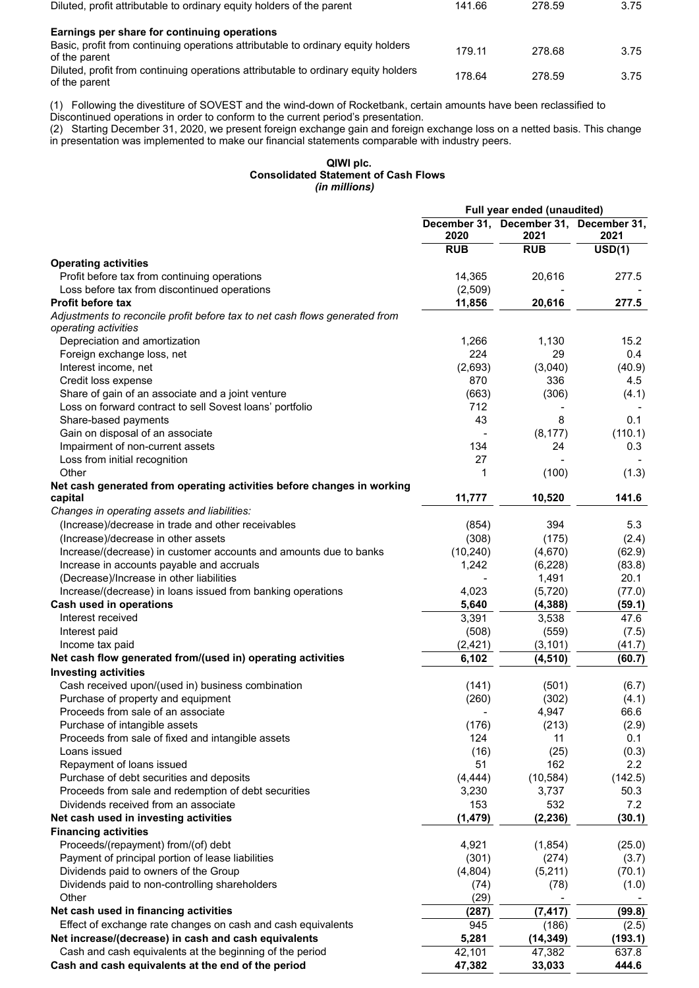| Diluted, profit attributable to ordinary equity holders of the parent                               | 141.66 | 278.59 | 3.75 |
|-----------------------------------------------------------------------------------------------------|--------|--------|------|
| Earnings per share for continuing operations                                                        |        |        |      |
| Basic, profit from continuing operations attributable to ordinary equity holders<br>of the parent   | 179.11 | 278.68 | 3.75 |
| Diluted, profit from continuing operations attributable to ordinary equity holders<br>of the parent | 178.64 | 278.59 | 3.75 |

(1) Following the divestiture of SOVEST and the wind-down of Rocketbank, certain amounts have been reclassified to

Discontinued operations in order to conform to the current period's presentation.

(2) Starting December 31, 2020, we present foreign exchange gain and foreign exchange loss on a netted basis. This change in presentation was implemented to make our financial statements comparable with industry peers.

#### **QIWI plc. Consolidated Statement of Cash Flows**  *(in millions)*

|                                                                                                     |            | Full year ended (unaudited)                    |                     |
|-----------------------------------------------------------------------------------------------------|------------|------------------------------------------------|---------------------|
|                                                                                                     | 2020       | December 31, December 31, December 31,<br>2021 | 2021                |
|                                                                                                     | <b>RUB</b> | <b>RUB</b>                                     | $\overline{USD(1)}$ |
| <b>Operating activities</b>                                                                         |            |                                                |                     |
| Profit before tax from continuing operations                                                        | 14,365     | 20,616                                         | 277.5               |
| Loss before tax from discontinued operations                                                        | (2,509)    |                                                |                     |
| <b>Profit before tax</b>                                                                            | 11,856     | 20,616                                         | 277.5               |
| Adjustments to reconcile profit before tax to net cash flows generated from<br>operating activities |            |                                                |                     |
| Depreciation and amortization                                                                       | 1,266      | 1,130                                          | 15.2                |
| Foreign exchange loss, net                                                                          | 224        | 29                                             | 0.4                 |
| Interest income, net                                                                                | (2,693)    | (3,040)                                        | (40.9)              |
| Credit loss expense                                                                                 | 870        | 336                                            | 4.5                 |
| Share of gain of an associate and a joint venture                                                   | (663)      | (306)                                          | (4.1)               |
| Loss on forward contract to sell Sovest loans' portfolio                                            | 712        |                                                |                     |
| Share-based payments                                                                                | 43         | 8                                              | 0.1                 |
| Gain on disposal of an associate                                                                    |            | (8, 177)                                       | (110.1)             |
| Impairment of non-current assets                                                                    | 134        | 24                                             | 0.3                 |
| Loss from initial recognition                                                                       | 27         |                                                |                     |
| Other                                                                                               | 1          | (100)                                          | (1.3)               |
| Net cash generated from operating activities before changes in working                              |            |                                                |                     |
| capital                                                                                             | 11,777     | 10,520                                         | 141.6               |
| Changes in operating assets and liabilities:                                                        |            |                                                |                     |
| (Increase)/decrease in trade and other receivables                                                  | (854)      | 394                                            | 5.3                 |
| (Increase)/decrease in other assets                                                                 | (308)      | (175)                                          | (2.4)               |
| Increase/(decrease) in customer accounts and amounts due to banks                                   | (10, 240)  | (4,670)                                        | (62.9)              |
| Increase in accounts payable and accruals                                                           | 1,242      | (6, 228)                                       | (83.8)              |
| (Decrease)/Increase in other liabilities                                                            |            | 1,491                                          | 20.1                |
| Increase/(decrease) in loans issued from banking operations                                         | 4,023      | (5, 720)                                       | (77.0)              |
| Cash used in operations                                                                             | 5,640      | (4, 388)                                       | (59.1)              |
| Interest received                                                                                   | 3,391      | 3,538                                          | 47.6                |
| Interest paid                                                                                       | (508)      | (559)                                          | (7.5)               |
| Income tax paid                                                                                     | (2, 421)   | (3, 101)                                       | (41.7)              |
| Net cash flow generated from/(used in) operating activities                                         | 6,102      | (4, 510)                                       | (60.7)              |
| <b>Investing activities</b>                                                                         |            |                                                |                     |
| Cash received upon/(used in) business combination                                                   | (141)      | (501)                                          | (6.7)               |
| Purchase of property and equipment                                                                  | (260)      | (302)                                          | (4.1)               |
| Proceeds from sale of an associate                                                                  |            | 4,947                                          | 66.6                |
| Purchase of intangible assets                                                                       | (176)      | (213)                                          | (2.9)               |
| Proceeds from sale of fixed and intangible assets                                                   | 124        | 11                                             | 0.1                 |
| Loans issued                                                                                        | (16)       | (25)                                           | (0.3)               |
| Repayment of loans issued                                                                           | 51         | 162                                            | 2.2                 |
| Purchase of debt securities and deposits                                                            | (4, 444)   | (10, 584)                                      | (142.5)             |
| Proceeds from sale and redemption of debt securities                                                | 3,230      | 3,737                                          | 50.3                |
| Dividends received from an associate                                                                | 153        | 532                                            | 7.2                 |
| Net cash used in investing activities                                                               | (1, 479)   | (2, 236)                                       | (30.1)              |
| <b>Financing activities</b>                                                                         |            |                                                |                     |
| Proceeds/(repayment) from/(of) debt                                                                 | 4,921      | (1, 854)                                       | (25.0)              |
| Payment of principal portion of lease liabilities                                                   | (301)      | (274)                                          | (3.7)               |
| Dividends paid to owners of the Group                                                               | (4,804)    | (5,211)                                        | (70.1)              |
| Dividends paid to non-controlling shareholders                                                      | (74)       | (78)                                           | (1.0)               |
| Other                                                                                               | (29)       |                                                |                     |
| Net cash used in financing activities                                                               | (287)      | (7, 417)                                       | (99.8)              |
| Effect of exchange rate changes on cash and cash equivalents                                        | 945        | (186)                                          | (2.5)               |
| Net increase/(decrease) in cash and cash equivalents                                                | 5,281      | (14, 349)                                      | (193.1)             |
| Cash and cash equivalents at the beginning of the period                                            | 42,101     | 47,382                                         | 637.8               |
| Cash and cash equivalents at the end of the period                                                  | 47,382     | 33,033                                         | 444.6               |
|                                                                                                     |            |                                                |                     |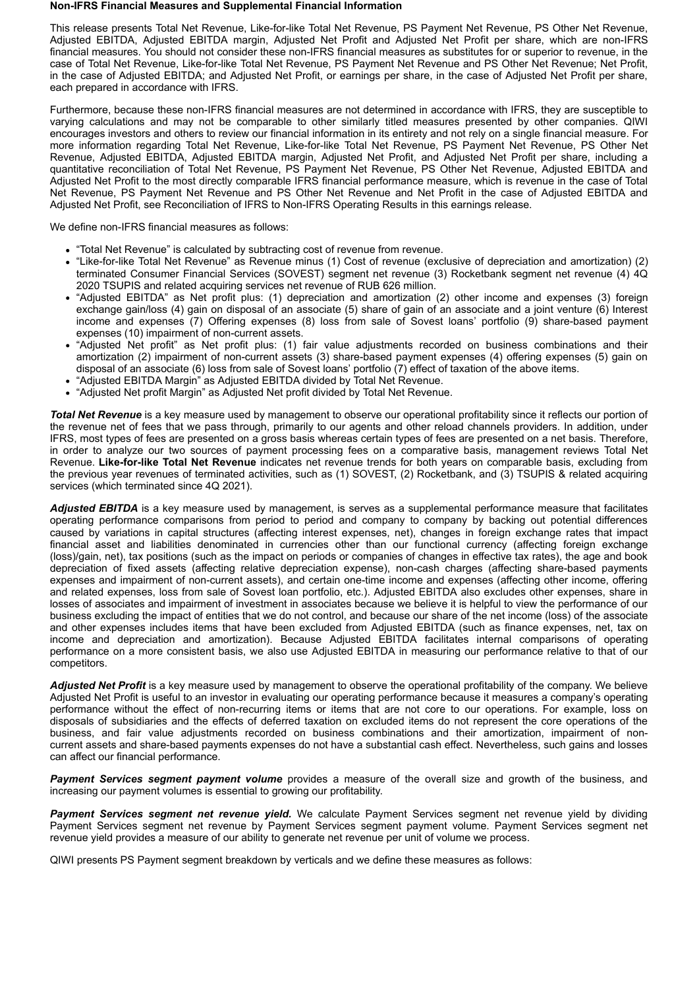#### **Non-IFRS Financial Measures and Supplemental Financial Information**

This release presents Total Net Revenue, Like-for-like Total Net Revenue, PS Payment Net Revenue, PS Other Net Revenue, Adjusted EBITDA, Adjusted EBITDA margin, Adjusted Net Profit and Adjusted Net Profit per share, which are non-IFRS financial measures. You should not consider these non-IFRS financial measures as substitutes for or superior to revenue, in the case of Total Net Revenue, Like-for-like Total Net Revenue, PS Payment Net Revenue and PS Other Net Revenue; Net Profit, in the case of Adjusted EBITDA; and Adjusted Net Profit, or earnings per share, in the case of Adjusted Net Profit per share, each prepared in accordance with IFRS.

Furthermore, because these non-IFRS financial measures are not determined in accordance with IFRS, they are susceptible to varying calculations and may not be comparable to other similarly titled measures presented by other companies. QIWI encourages investors and others to review our financial information in its entirety and not rely on a single financial measure. For more information regarding Total Net Revenue, Like-for-like Total Net Revenue, PS Payment Net Revenue, PS Other Net Revenue, Adjusted EBITDA, Adjusted EBITDA margin, Adjusted Net Profit, and Adjusted Net Profit per share, including a quantitative reconciliation of Total Net Revenue, PS Payment Net Revenue, PS Other Net Revenue, Adjusted EBITDA and Adjusted Net Profit to the most directly comparable IFRS financial performance measure, which is revenue in the case of Total Net Revenue, PS Payment Net Revenue and PS Other Net Revenue and Net Profit in the case of Adjusted EBITDA and Adjusted Net Profit, see Reconciliation of IFRS to Non-IFRS Operating Results in this earnings release.

We define non-IFRS financial measures as follows:

- "Total Net Revenue" is calculated by subtracting cost of revenue from revenue.
- "Like-for-like Total Net Revenue" as Revenue minus (1) Cost of revenue (exclusive of depreciation and amortization) (2) terminated Consumer Financial Services (SOVEST) segment net revenue (3) Rocketbank segment net revenue (4) 4Q 2020 TSUPIS and related acquiring services net revenue of RUB 626 million.
- "Adjusted EBITDA" as Net profit plus: (1) depreciation and amortization (2) other income and expenses (3) foreign exchange gain/loss (4) gain on disposal of an associate (5) share of gain of an associate and a joint venture (6) Interest income and expenses (7) Offering expenses (8) loss from sale of Sovest loans' portfolio (9) share-based payment expenses (10) impairment of non-current assets.
- "Adjusted Net profit" as Net profit plus: (1) fair value adjustments recorded on business combinations and their amortization (2) impairment of non-current assets (3) share-based payment expenses (4) offering expenses (5) gain on disposal of an associate (6) loss from sale of Sovest loans' portfolio (7) effect of taxation of the above items.
- "Adjusted EBITDA Margin" as Adjusted EBITDA divided by Total Net Revenue.
- "Adjusted Net profit Margin" as Adjusted Net profit divided by Total Net Revenue.

*Total Net Revenue* is a key measure used by management to observe our operational profitability since it reflects our portion of the revenue net of fees that we pass through, primarily to our agents and other reload channels providers. In addition, under IFRS, most types of fees are presented on a gross basis whereas certain types of fees are presented on a net basis. Therefore, in order to analyze our two sources of payment processing fees on a comparative basis, management reviews Total Net Revenue. **Like-for-like Total Net Revenue** indicates net revenue trends for both years on comparable basis, excluding from the previous year revenues of terminated activities, such as (1) SOVEST, (2) Rocketbank, and (3) TSUPIS & related acquiring services (which terminated since 4Q 2021).

Adjusted EBITDA is a key measure used by management, is serves as a supplemental performance measure that facilitates operating performance comparisons from period to period and company to company by backing out potential differences caused by variations in capital structures (affecting interest expenses, net), changes in foreign exchange rates that impact financial asset and liabilities denominated in currencies other than our functional currency (affecting foreign exchange (loss)/gain, net), tax positions (such as the impact on periods or companies of changes in effective tax rates), the age and book depreciation of fixed assets (affecting relative depreciation expense), non-cash charges (affecting share-based payments expenses and impairment of non-current assets), and certain one-time income and expenses (affecting other income, offering and related expenses, loss from sale of Sovest loan portfolio, etc.). Adjusted EBITDA also excludes other expenses, share in losses of associates and impairment of investment in associates because we believe it is helpful to view the performance of our business excluding the impact of entities that we do not control, and because our share of the net income (loss) of the associate and other expenses includes items that have been excluded from Adjusted EBITDA (such as finance expenses, net, tax on income and depreciation and amortization). Because Adjusted EBITDA facilitates internal comparisons of operating performance on a more consistent basis, we also use Adjusted EBITDA in measuring our performance relative to that of our competitors.

*Adjusted Net Profit* is a key measure used by management to observe the operational profitability of the company. We believe Adjusted Net Profit is useful to an investor in evaluating our operating performance because it measures a company's operating performance without the effect of non-recurring items or items that are not core to our operations. For example, loss on disposals of subsidiaries and the effects of deferred taxation on excluded items do not represent the core operations of the business, and fair value adjustments recorded on business combinations and their amortization, impairment of noncurrent assets and share-based payments expenses do not have a substantial cash effect. Nevertheless, such gains and losses can affect our financial performance.

*Payment Services segment payment volume* provides a measure of the overall size and growth of the business, and increasing our payment volumes is essential to growing our profitability.

*Payment Services segment net revenue yield.* We calculate Payment Services segment net revenue yield by dividing Payment Services segment net revenue by Payment Services segment payment volume. Payment Services segment net revenue yield provides a measure of our ability to generate net revenue per unit of volume we process.

QIWI presents PS Payment segment breakdown by verticals and we define these measures as follows: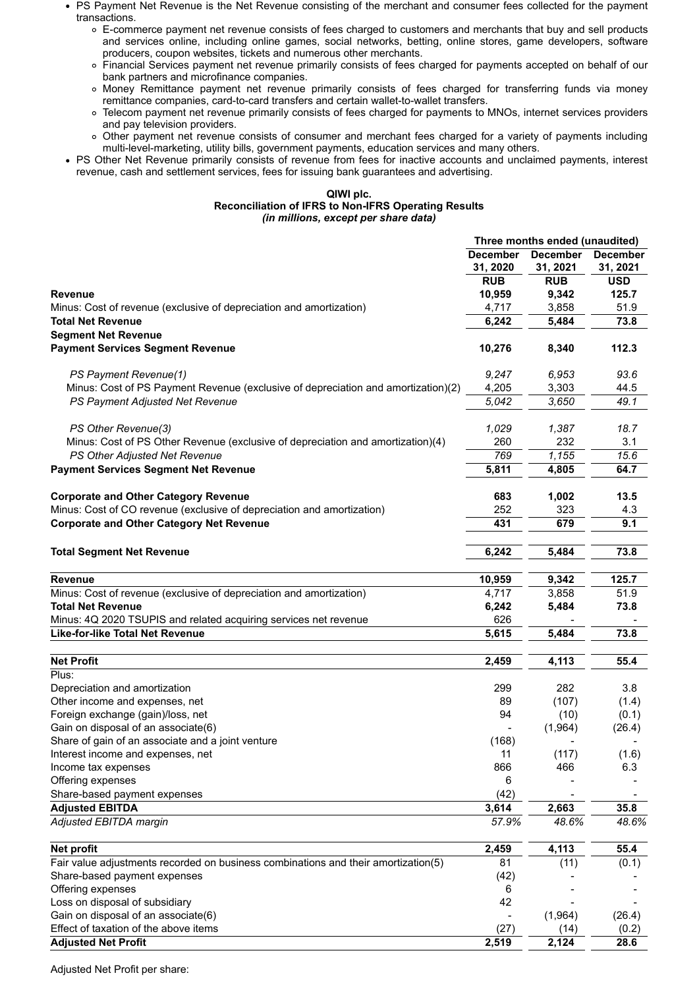PS Payment Net Revenue is the Net Revenue consisting of the merchant and consumer fees collected for the payment transactions.

- E-commerce payment net revenue consists of fees charged to customers and merchants that buy and sell products and services online, including online games, social networks, betting, online stores, game developers, software producers, coupon websites, tickets and numerous other merchants.
- Financial Services payment net revenue primarily consists of fees charged for payments accepted on behalf of our bank partners and microfinance companies.
- Money Remittance payment net revenue primarily consists of fees charged for transferring funds via money remittance companies, card-to-card transfers and certain wallet-to-wallet transfers.
- Telecom payment net revenue primarily consists of fees charged for payments to MNOs, internet services providers and pay television providers.
- Other payment net revenue consists of consumer and merchant fees charged for a variety of payments including multi-level-marketing, utility bills, government payments, education services and many others.
- PS Other Net Revenue primarily consists of revenue from fees for inactive accounts and unclaimed payments, interest revenue, cash and settlement services, fees for issuing bank guarantees and advertising.

#### **QIWI plc. Reconciliation of IFRS to Non-IFRS Operating Results** *(in millions, except per share data)*

| <b>December</b><br><b>December</b><br><b>December</b><br>31, 2020<br>31, 2021<br>31, 2021<br><b>RUB</b><br><b>RUB</b><br><b>USD</b><br>10,959<br>9,342<br>125.7<br>4,717<br>3,858<br>51.9<br>6,242<br>5,484<br>73.8<br><b>Segment Net Revenue</b><br>10,276<br>112.3<br>8,340<br>93.6<br>PS Payment Revenue(1)<br>9,247<br>6,953<br>Minus: Cost of PS Payment Revenue (exclusive of depreciation and amortization)(2)<br>4,205<br>3,303<br>44.5<br>49.1<br>5,042<br>3,650<br>PS Payment Adjusted Net Revenue<br>PS Other Revenue(3)<br>1,029<br>1,387<br>18.7<br>Minus: Cost of PS Other Revenue (exclusive of depreciation and amortization)(4)<br>260<br>232<br>3.1<br>PS Other Adjusted Net Revenue<br>769<br>1,155<br>15.6<br>5,811<br>64.7<br>4,805<br>13.5<br>683<br>1,002<br>252<br>323<br>4.3<br>431<br>679<br>9.1<br>6,242<br>73.8<br>5,484<br>10,959<br>9,342<br>125.7<br>4,717<br>3,858<br>51.9<br>6,242<br>5,484<br>73.8<br>626<br>5,615<br>73.8<br>5,484<br>4,113<br>55.4<br>2,459<br>299<br>282<br>3.8<br>Other income and expenses, net<br>(107)<br>89<br>(1.4)<br>Foreign exchange (gain)/loss, net<br>94<br>(10)<br>(0.1)<br>Gain on disposal of an associate(6)<br>(1,964)<br>(26.4)<br>Share of gain of an associate and a joint venture<br>(168)<br>Interest income and expenses, net<br>11<br>(117)<br>(1.6)<br>Income tax expenses<br>866<br>466<br>6.3<br>Offering expenses<br>6<br>(42)<br>Share-based payment expenses<br><b>Adjusted EBITDA</b><br>3,614<br>2,663<br>35.8<br>57.9%<br>48.6%<br>48.6%<br>2,459<br>4,113<br>55.4<br>Net profit<br>Fair value adjustments recorded on business combinations and their amortization(5)<br>(11)<br>81<br>(0.1)<br>Share-based payment expenses<br>(42)<br>Offering expenses<br>6<br>Loss on disposal of subsidiary<br>42<br>Gain on disposal of an associate(6)<br>(1,964)<br>(26.4)<br>Effect of taxation of the above items<br>(27)<br>(14)<br>(0.2) |                                                                        | Three months ended (unaudited) |       |      |
|-----------------------------------------------------------------------------------------------------------------------------------------------------------------------------------------------------------------------------------------------------------------------------------------------------------------------------------------------------------------------------------------------------------------------------------------------------------------------------------------------------------------------------------------------------------------------------------------------------------------------------------------------------------------------------------------------------------------------------------------------------------------------------------------------------------------------------------------------------------------------------------------------------------------------------------------------------------------------------------------------------------------------------------------------------------------------------------------------------------------------------------------------------------------------------------------------------------------------------------------------------------------------------------------------------------------------------------------------------------------------------------------------------------------------------------------------------------------------------------------------------------------------------------------------------------------------------------------------------------------------------------------------------------------------------------------------------------------------------------------------------------------------------------------------------------------------------------------------------------------------------------------------------------------------------|------------------------------------------------------------------------|--------------------------------|-------|------|
|                                                                                                                                                                                                                                                                                                                                                                                                                                                                                                                                                                                                                                                                                                                                                                                                                                                                                                                                                                                                                                                                                                                                                                                                                                                                                                                                                                                                                                                                                                                                                                                                                                                                                                                                                                                                                                                                                                                             |                                                                        |                                |       |      |
|                                                                                                                                                                                                                                                                                                                                                                                                                                                                                                                                                                                                                                                                                                                                                                                                                                                                                                                                                                                                                                                                                                                                                                                                                                                                                                                                                                                                                                                                                                                                                                                                                                                                                                                                                                                                                                                                                                                             |                                                                        |                                |       |      |
|                                                                                                                                                                                                                                                                                                                                                                                                                                                                                                                                                                                                                                                                                                                                                                                                                                                                                                                                                                                                                                                                                                                                                                                                                                                                                                                                                                                                                                                                                                                                                                                                                                                                                                                                                                                                                                                                                                                             | <b>Revenue</b>                                                         |                                |       |      |
|                                                                                                                                                                                                                                                                                                                                                                                                                                                                                                                                                                                                                                                                                                                                                                                                                                                                                                                                                                                                                                                                                                                                                                                                                                                                                                                                                                                                                                                                                                                                                                                                                                                                                                                                                                                                                                                                                                                             | Minus: Cost of revenue (exclusive of depreciation and amortization)    |                                |       |      |
|                                                                                                                                                                                                                                                                                                                                                                                                                                                                                                                                                                                                                                                                                                                                                                                                                                                                                                                                                                                                                                                                                                                                                                                                                                                                                                                                                                                                                                                                                                                                                                                                                                                                                                                                                                                                                                                                                                                             | <b>Total Net Revenue</b>                                               |                                |       |      |
|                                                                                                                                                                                                                                                                                                                                                                                                                                                                                                                                                                                                                                                                                                                                                                                                                                                                                                                                                                                                                                                                                                                                                                                                                                                                                                                                                                                                                                                                                                                                                                                                                                                                                                                                                                                                                                                                                                                             |                                                                        |                                |       |      |
|                                                                                                                                                                                                                                                                                                                                                                                                                                                                                                                                                                                                                                                                                                                                                                                                                                                                                                                                                                                                                                                                                                                                                                                                                                                                                                                                                                                                                                                                                                                                                                                                                                                                                                                                                                                                                                                                                                                             | <b>Payment Services Segment Revenue</b>                                |                                |       |      |
|                                                                                                                                                                                                                                                                                                                                                                                                                                                                                                                                                                                                                                                                                                                                                                                                                                                                                                                                                                                                                                                                                                                                                                                                                                                                                                                                                                                                                                                                                                                                                                                                                                                                                                                                                                                                                                                                                                                             |                                                                        |                                |       |      |
|                                                                                                                                                                                                                                                                                                                                                                                                                                                                                                                                                                                                                                                                                                                                                                                                                                                                                                                                                                                                                                                                                                                                                                                                                                                                                                                                                                                                                                                                                                                                                                                                                                                                                                                                                                                                                                                                                                                             |                                                                        |                                |       |      |
|                                                                                                                                                                                                                                                                                                                                                                                                                                                                                                                                                                                                                                                                                                                                                                                                                                                                                                                                                                                                                                                                                                                                                                                                                                                                                                                                                                                                                                                                                                                                                                                                                                                                                                                                                                                                                                                                                                                             |                                                                        |                                |       |      |
|                                                                                                                                                                                                                                                                                                                                                                                                                                                                                                                                                                                                                                                                                                                                                                                                                                                                                                                                                                                                                                                                                                                                                                                                                                                                                                                                                                                                                                                                                                                                                                                                                                                                                                                                                                                                                                                                                                                             |                                                                        |                                |       |      |
|                                                                                                                                                                                                                                                                                                                                                                                                                                                                                                                                                                                                                                                                                                                                                                                                                                                                                                                                                                                                                                                                                                                                                                                                                                                                                                                                                                                                                                                                                                                                                                                                                                                                                                                                                                                                                                                                                                                             |                                                                        |                                |       |      |
|                                                                                                                                                                                                                                                                                                                                                                                                                                                                                                                                                                                                                                                                                                                                                                                                                                                                                                                                                                                                                                                                                                                                                                                                                                                                                                                                                                                                                                                                                                                                                                                                                                                                                                                                                                                                                                                                                                                             |                                                                        |                                |       |      |
|                                                                                                                                                                                                                                                                                                                                                                                                                                                                                                                                                                                                                                                                                                                                                                                                                                                                                                                                                                                                                                                                                                                                                                                                                                                                                                                                                                                                                                                                                                                                                                                                                                                                                                                                                                                                                                                                                                                             | <b>Payment Services Segment Net Revenue</b>                            |                                |       |      |
|                                                                                                                                                                                                                                                                                                                                                                                                                                                                                                                                                                                                                                                                                                                                                                                                                                                                                                                                                                                                                                                                                                                                                                                                                                                                                                                                                                                                                                                                                                                                                                                                                                                                                                                                                                                                                                                                                                                             | <b>Corporate and Other Category Revenue</b>                            |                                |       |      |
|                                                                                                                                                                                                                                                                                                                                                                                                                                                                                                                                                                                                                                                                                                                                                                                                                                                                                                                                                                                                                                                                                                                                                                                                                                                                                                                                                                                                                                                                                                                                                                                                                                                                                                                                                                                                                                                                                                                             | Minus: Cost of CO revenue (exclusive of depreciation and amortization) |                                |       |      |
|                                                                                                                                                                                                                                                                                                                                                                                                                                                                                                                                                                                                                                                                                                                                                                                                                                                                                                                                                                                                                                                                                                                                                                                                                                                                                                                                                                                                                                                                                                                                                                                                                                                                                                                                                                                                                                                                                                                             | <b>Corporate and Other Category Net Revenue</b>                        |                                |       |      |
|                                                                                                                                                                                                                                                                                                                                                                                                                                                                                                                                                                                                                                                                                                                                                                                                                                                                                                                                                                                                                                                                                                                                                                                                                                                                                                                                                                                                                                                                                                                                                                                                                                                                                                                                                                                                                                                                                                                             | <b>Total Segment Net Revenue</b>                                       |                                |       |      |
|                                                                                                                                                                                                                                                                                                                                                                                                                                                                                                                                                                                                                                                                                                                                                                                                                                                                                                                                                                                                                                                                                                                                                                                                                                                                                                                                                                                                                                                                                                                                                                                                                                                                                                                                                                                                                                                                                                                             | <b>Revenue</b>                                                         |                                |       |      |
|                                                                                                                                                                                                                                                                                                                                                                                                                                                                                                                                                                                                                                                                                                                                                                                                                                                                                                                                                                                                                                                                                                                                                                                                                                                                                                                                                                                                                                                                                                                                                                                                                                                                                                                                                                                                                                                                                                                             | Minus: Cost of revenue (exclusive of depreciation and amortization)    |                                |       |      |
|                                                                                                                                                                                                                                                                                                                                                                                                                                                                                                                                                                                                                                                                                                                                                                                                                                                                                                                                                                                                                                                                                                                                                                                                                                                                                                                                                                                                                                                                                                                                                                                                                                                                                                                                                                                                                                                                                                                             | <b>Total Net Revenue</b>                                               |                                |       |      |
|                                                                                                                                                                                                                                                                                                                                                                                                                                                                                                                                                                                                                                                                                                                                                                                                                                                                                                                                                                                                                                                                                                                                                                                                                                                                                                                                                                                                                                                                                                                                                                                                                                                                                                                                                                                                                                                                                                                             | Minus: 4Q 2020 TSUPIS and related acquiring services net revenue       |                                |       |      |
|                                                                                                                                                                                                                                                                                                                                                                                                                                                                                                                                                                                                                                                                                                                                                                                                                                                                                                                                                                                                                                                                                                                                                                                                                                                                                                                                                                                                                                                                                                                                                                                                                                                                                                                                                                                                                                                                                                                             | Like-for-like Total Net Revenue                                        |                                |       |      |
|                                                                                                                                                                                                                                                                                                                                                                                                                                                                                                                                                                                                                                                                                                                                                                                                                                                                                                                                                                                                                                                                                                                                                                                                                                                                                                                                                                                                                                                                                                                                                                                                                                                                                                                                                                                                                                                                                                                             | <b>Net Profit</b>                                                      |                                |       |      |
|                                                                                                                                                                                                                                                                                                                                                                                                                                                                                                                                                                                                                                                                                                                                                                                                                                                                                                                                                                                                                                                                                                                                                                                                                                                                                                                                                                                                                                                                                                                                                                                                                                                                                                                                                                                                                                                                                                                             | Plus:                                                                  |                                |       |      |
|                                                                                                                                                                                                                                                                                                                                                                                                                                                                                                                                                                                                                                                                                                                                                                                                                                                                                                                                                                                                                                                                                                                                                                                                                                                                                                                                                                                                                                                                                                                                                                                                                                                                                                                                                                                                                                                                                                                             | Depreciation and amortization                                          |                                |       |      |
|                                                                                                                                                                                                                                                                                                                                                                                                                                                                                                                                                                                                                                                                                                                                                                                                                                                                                                                                                                                                                                                                                                                                                                                                                                                                                                                                                                                                                                                                                                                                                                                                                                                                                                                                                                                                                                                                                                                             |                                                                        |                                |       |      |
|                                                                                                                                                                                                                                                                                                                                                                                                                                                                                                                                                                                                                                                                                                                                                                                                                                                                                                                                                                                                                                                                                                                                                                                                                                                                                                                                                                                                                                                                                                                                                                                                                                                                                                                                                                                                                                                                                                                             |                                                                        |                                |       |      |
|                                                                                                                                                                                                                                                                                                                                                                                                                                                                                                                                                                                                                                                                                                                                                                                                                                                                                                                                                                                                                                                                                                                                                                                                                                                                                                                                                                                                                                                                                                                                                                                                                                                                                                                                                                                                                                                                                                                             |                                                                        |                                |       |      |
|                                                                                                                                                                                                                                                                                                                                                                                                                                                                                                                                                                                                                                                                                                                                                                                                                                                                                                                                                                                                                                                                                                                                                                                                                                                                                                                                                                                                                                                                                                                                                                                                                                                                                                                                                                                                                                                                                                                             |                                                                        |                                |       |      |
|                                                                                                                                                                                                                                                                                                                                                                                                                                                                                                                                                                                                                                                                                                                                                                                                                                                                                                                                                                                                                                                                                                                                                                                                                                                                                                                                                                                                                                                                                                                                                                                                                                                                                                                                                                                                                                                                                                                             |                                                                        |                                |       |      |
|                                                                                                                                                                                                                                                                                                                                                                                                                                                                                                                                                                                                                                                                                                                                                                                                                                                                                                                                                                                                                                                                                                                                                                                                                                                                                                                                                                                                                                                                                                                                                                                                                                                                                                                                                                                                                                                                                                                             |                                                                        |                                |       |      |
|                                                                                                                                                                                                                                                                                                                                                                                                                                                                                                                                                                                                                                                                                                                                                                                                                                                                                                                                                                                                                                                                                                                                                                                                                                                                                                                                                                                                                                                                                                                                                                                                                                                                                                                                                                                                                                                                                                                             |                                                                        |                                |       |      |
|                                                                                                                                                                                                                                                                                                                                                                                                                                                                                                                                                                                                                                                                                                                                                                                                                                                                                                                                                                                                                                                                                                                                                                                                                                                                                                                                                                                                                                                                                                                                                                                                                                                                                                                                                                                                                                                                                                                             |                                                                        |                                |       |      |
|                                                                                                                                                                                                                                                                                                                                                                                                                                                                                                                                                                                                                                                                                                                                                                                                                                                                                                                                                                                                                                                                                                                                                                                                                                                                                                                                                                                                                                                                                                                                                                                                                                                                                                                                                                                                                                                                                                                             | Adjusted EBITDA margin                                                 |                                |       |      |
|                                                                                                                                                                                                                                                                                                                                                                                                                                                                                                                                                                                                                                                                                                                                                                                                                                                                                                                                                                                                                                                                                                                                                                                                                                                                                                                                                                                                                                                                                                                                                                                                                                                                                                                                                                                                                                                                                                                             |                                                                        |                                |       |      |
|                                                                                                                                                                                                                                                                                                                                                                                                                                                                                                                                                                                                                                                                                                                                                                                                                                                                                                                                                                                                                                                                                                                                                                                                                                                                                                                                                                                                                                                                                                                                                                                                                                                                                                                                                                                                                                                                                                                             |                                                                        |                                |       |      |
|                                                                                                                                                                                                                                                                                                                                                                                                                                                                                                                                                                                                                                                                                                                                                                                                                                                                                                                                                                                                                                                                                                                                                                                                                                                                                                                                                                                                                                                                                                                                                                                                                                                                                                                                                                                                                                                                                                                             |                                                                        |                                |       |      |
|                                                                                                                                                                                                                                                                                                                                                                                                                                                                                                                                                                                                                                                                                                                                                                                                                                                                                                                                                                                                                                                                                                                                                                                                                                                                                                                                                                                                                                                                                                                                                                                                                                                                                                                                                                                                                                                                                                                             |                                                                        |                                |       |      |
|                                                                                                                                                                                                                                                                                                                                                                                                                                                                                                                                                                                                                                                                                                                                                                                                                                                                                                                                                                                                                                                                                                                                                                                                                                                                                                                                                                                                                                                                                                                                                                                                                                                                                                                                                                                                                                                                                                                             |                                                                        |                                |       |      |
|                                                                                                                                                                                                                                                                                                                                                                                                                                                                                                                                                                                                                                                                                                                                                                                                                                                                                                                                                                                                                                                                                                                                                                                                                                                                                                                                                                                                                                                                                                                                                                                                                                                                                                                                                                                                                                                                                                                             |                                                                        |                                |       |      |
|                                                                                                                                                                                                                                                                                                                                                                                                                                                                                                                                                                                                                                                                                                                                                                                                                                                                                                                                                                                                                                                                                                                                                                                                                                                                                                                                                                                                                                                                                                                                                                                                                                                                                                                                                                                                                                                                                                                             |                                                                        |                                |       |      |
|                                                                                                                                                                                                                                                                                                                                                                                                                                                                                                                                                                                                                                                                                                                                                                                                                                                                                                                                                                                                                                                                                                                                                                                                                                                                                                                                                                                                                                                                                                                                                                                                                                                                                                                                                                                                                                                                                                                             | <b>Adjusted Net Profit</b>                                             | 2,519                          | 2,124 | 28.6 |

Adjusted Net Profit per share: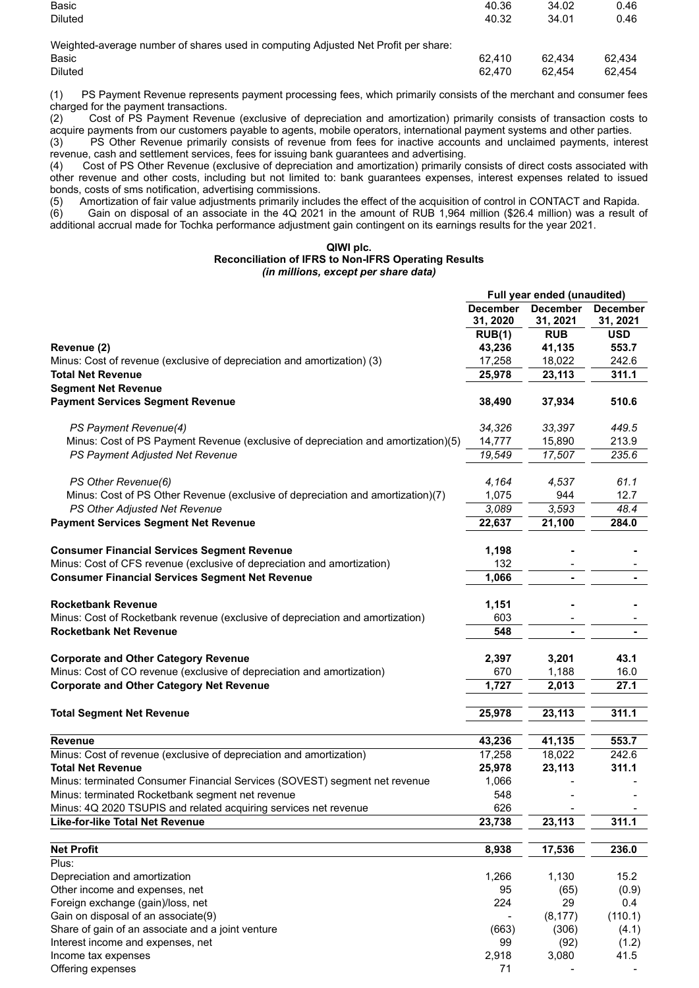| Basic                                                                              | 40.36  | 34.02  | 0.46   |
|------------------------------------------------------------------------------------|--------|--------|--------|
| <b>Diluted</b>                                                                     | 40.32  | 34.01  | 0.46   |
|                                                                                    |        |        |        |
| Weighted-average number of shares used in computing Adjusted Net Profit per share: |        |        |        |
| Basic                                                                              | 62.410 | 62.434 | 62.434 |
| <b>Diluted</b>                                                                     | 62.470 | 62.454 | 62.454 |
|                                                                                    |        |        |        |

(1) PS Payment Revenue represents payment processing fees, which primarily consists of the merchant and consumer fees charged for the payment transactions.

(2) Cost of PS Payment Revenue (exclusive of depreciation and amortization) primarily consists of transaction costs to acquire payments from our customers payable to agents, mobile operators, international payment systems and other parties.

(3) PS Other Revenue primarily consists of revenue from fees for inactive accounts and unclaimed payments, interest revenue, cash and settlement services, fees for issuing bank guarantees and advertising.

(4) Cost of PS Other Revenue (exclusive of depreciation and amortization) primarily consists of direct costs associated with other revenue and other costs, including but not limited to: bank guarantees expenses, interest expenses related to issued bonds, costs of sms notification, advertising commissions.<br>(5) Amortization of fair value adjustments primarily inclu

(5) Amortization of fair value adjustments primarily includes the effect of the acquisition of control in CONTACT and Rapida. (6) Gain on disposal of an associate in the 4Q 2021 in the amount of RUB 1,964 million (\$26.4 million) was a result of additional accrual made for Tochka performance adjustment gain contingent on its earnings results for the year 2021.

#### **QIWI plc. Reconciliation of IFRS to Non-IFRS Operating Results** *(in millions, except per share data)*

|                                                                                   |                             | Full year ended (unaudited) |                             |
|-----------------------------------------------------------------------------------|-----------------------------|-----------------------------|-----------------------------|
|                                                                                   | <b>December</b><br>31, 2020 | <b>December</b><br>31, 2021 | <b>December</b><br>31, 2021 |
|                                                                                   | RUB(1)                      | <b>RUB</b>                  | <b>USD</b>                  |
| Revenue (2)                                                                       | 43,236                      | 41,135                      | 553.7                       |
| Minus: Cost of revenue (exclusive of depreciation and amortization) (3)           | 17,258                      | 18,022                      | 242.6                       |
| Total Net Revenue                                                                 | 25,978                      | 23,113                      | 311.1                       |
| <b>Segment Net Revenue</b>                                                        |                             |                             |                             |
| <b>Payment Services Segment Revenue</b>                                           | 38,490                      | 37,934                      | 510.6                       |
|                                                                                   |                             |                             |                             |
| PS Payment Revenue(4)                                                             | 34,326                      | 33,397                      | 449.5                       |
| Minus: Cost of PS Payment Revenue (exclusive of depreciation and amortization)(5) | 14,777                      | 15,890                      | 213.9                       |
| PS Payment Adjusted Net Revenue                                                   | 19,549                      | 17,507                      | 235.6                       |
|                                                                                   |                             |                             |                             |
| PS Other Revenue(6)                                                               | 4,164                       | 4,537                       | 61.1                        |
| Minus: Cost of PS Other Revenue (exclusive of depreciation and amortization)(7)   | 1,075                       | 944                         | 12.7                        |
|                                                                                   |                             |                             |                             |
| PS Other Adjusted Net Revenue                                                     | 3,089                       | 3,593                       | 48.4                        |
| <b>Payment Services Segment Net Revenue</b>                                       | 22,637                      | 21,100                      | 284.0                       |
|                                                                                   |                             |                             |                             |
| <b>Consumer Financial Services Segment Revenue</b>                                | 1,198                       |                             |                             |
| Minus: Cost of CFS revenue (exclusive of depreciation and amortization)           | 132                         |                             |                             |
| <b>Consumer Financial Services Segment Net Revenue</b>                            | 1,066                       |                             |                             |
|                                                                                   |                             |                             |                             |
| <b>Rocketbank Revenue</b>                                                         | 1,151                       |                             |                             |
| Minus: Cost of Rocketbank revenue (exclusive of depreciation and amortization)    | 603                         |                             |                             |
| <b>Rocketbank Net Revenue</b>                                                     | 548                         |                             |                             |
|                                                                                   |                             |                             |                             |
| <b>Corporate and Other Category Revenue</b>                                       | 2,397                       | 3,201                       | 43.1                        |
| Minus: Cost of CO revenue (exclusive of depreciation and amortization)            | 670                         | 1,188                       | 16.0                        |
| <b>Corporate and Other Category Net Revenue</b>                                   | 1,727                       | 2,013                       | 27.1                        |
|                                                                                   |                             |                             |                             |
| <b>Total Segment Net Revenue</b>                                                  | 25,978                      | 23,113                      | 311.1                       |
|                                                                                   |                             |                             |                             |
| <b>Revenue</b>                                                                    | 43,236                      | 41,135                      | 553.7                       |
| Minus: Cost of revenue (exclusive of depreciation and amortization)               | 17,258                      | 18,022                      | 242.6                       |
| <b>Total Net Revenue</b>                                                          | 25,978                      | 23,113                      | 311.1                       |
| Minus: terminated Consumer Financial Services (SOVEST) segment net revenue        | 1,066                       |                             |                             |
| Minus: terminated Rocketbank segment net revenue                                  | 548                         |                             |                             |
| Minus: 4Q 2020 TSUPIS and related acquiring services net revenue                  | 626                         |                             |                             |
| Like-for-like Total Net Revenue                                                   | 23,738                      | 23,113                      | 311.1                       |
|                                                                                   |                             |                             |                             |
| <b>Net Profit</b>                                                                 | 8,938                       | 17,536                      | 236.0                       |
| Pius:                                                                             |                             |                             |                             |
| Depreciation and amortization                                                     | 1,266                       | 1,130                       | 15.2                        |
| Other income and expenses, net                                                    | 95                          | (65)                        | (0.9)                       |
| Foreign exchange (gain)/loss, net                                                 | 224                         | 29                          | 0.4                         |
| Gain on disposal of an associate(9)                                               |                             | (8, 177)                    | (110.1)                     |
| Share of gain of an associate and a joint venture                                 | (663)                       | (306)                       | (4.1)                       |
| Interest income and expenses, net                                                 | 99                          | (92)                        | (1.2)                       |
| Income tax expenses                                                               | 2,918                       | 3,080                       | 41.5                        |
| Offering expenses                                                                 | 71                          |                             |                             |